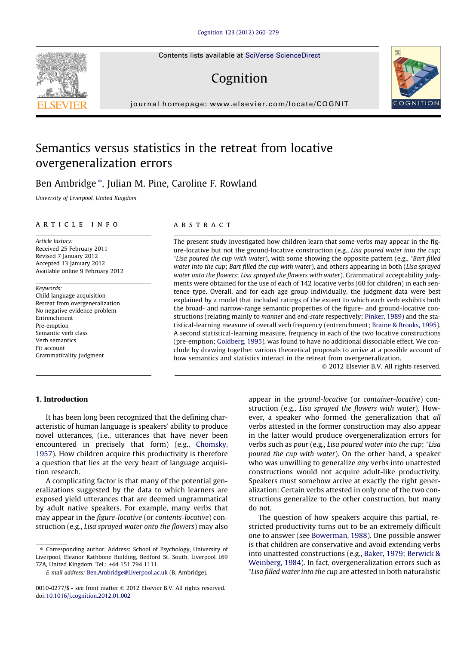Contents lists available at [SciVerse ScienceDirect](http://www.sciencedirect.com/science/journal/00100277)

# Cognition

journal homepage: [www.elsevier.com/locate/COGNIT](http://www.elsevier.com/locate/COGNIT)

# Semantics versus statistics in the retreat from locative overgeneralization errors

Ben Ambridge \*, Julian M. Pine, Caroline F. Rowland

University of Liverpool, United Kingdom

## article info

Article history: Received 25 February 2011 Revised 7 January 2012 Accepted 13 January 2012 Available online 9 February 2012

Keywords: Child language acquisition Retreat from overgeneralization No negative evidence problem Entrenchment Pre-emption Semantic verb class Verb semantics Fit account Grammaticality judgment

# **ABSTRACT**

The present study investigated how children learn that some verbs may appear in the figure-locative but not the ground-locative construction (e.g., Lisa poured water into the cup; \*Lisa poured the cup with water), with some showing the opposite pattern (e.g., \*Bart filled water into the cup; Bart filled the cup with water), and others appearing in both (Lisa sprayed water onto the flowers; Lisa sprayed the flowers with water). Grammatical acceptability judgments were obtained for the use of each of 142 locative verbs (60 for children) in each sentence type. Overall, and for each age group individually, the judgment data were best explained by a model that included ratings of the extent to which each verb exhibits both the broad- and narrow-range semantic properties of the figure- and ground-locative constructions (relating mainly to manner and end-state respectively; [Pinker, 1989\)](#page-19-0) and the statistical-learning measure of overall verb frequency (entrenchment; [Braine & Brooks, 1995\)](#page-18-0). A second statistical-learning measure, frequency in each of the two locative constructions (pre-emption; [Goldberg, 1995\)](#page-18-0), was found to have no additional dissociable effect. We conclude by drawing together various theoretical proposals to arrive at a possible account of how semantics and statistics interact in the retreat from overgeneralization.

- 2012 Elsevier B.V. All rights reserved.

# 1. Introduction

It has been long been recognized that the defining characteristic of human language is speakers' ability to produce novel utterances, (i.e., utterances that have never been encountered in precisely that form) (e.g., [Chomsky,](#page-18-0) [1957](#page-18-0)). How children acquire this productivity is therefore a question that lies at the very heart of language acquisition research.

A complicating factor is that many of the potential generalizations suggested by the data to which learners are exposed yield utterances that are deemed ungrammatical by adult native speakers. For example, many verbs that may appear in the figure-locative (or contents-locative) construction (e.g., Lisa sprayed water onto the flowers) may also

⇑ Corresponding author. Address: School of Psychology, University of Liverpool, Eleanor Rathbone Building, Bedford St. South, Liverpool L69 7ZA, United Kingdom. Tel.: +44 151 794 1111.

appear in the ground-locative (or container-locative) construction (e.g., Lisa sprayed the flowers with water). However, a speaker who formed the generalization that all verbs attested in the former construction may also appear in the latter would produce overgeneralization errors for verbs such as pour (e.g., Lisa poured water into the cup; \*Lisa poured the cup with water). On the other hand, a speaker who was unwilling to generalize any verbs into unattested constructions would not acquire adult-like productivity. Speakers must somehow arrive at exactly the right generalization: Certain verbs attested in only one of the two constructions generalize to the other construction, but many do not.

The question of how speakers acquire this partial, restricted productivity turns out to be an extremely difficult one to answer (see [Bowerman, 1988\)](#page-18-0). One possible answer is that children are conservative and avoid extending verbs into unattested constructions (e.g., [Baker, 1979; Berwick &](#page-18-0) [Weinberg, 1984\)](#page-18-0). In fact, overgeneralization errors such as \*Lisa filled water into the cup are attested in both naturalistic





E-mail address: [Ben.Ambridge@Liverpool.ac.uk](mailto:Ben.Ambridge@Liverpool.ac.uk) (B. Ambridge).

<sup>0010-0277/\$ -</sup> see front matter © 2012 Elsevier B.V. All rights reserved. doi[:10.1016/j.cognition.2012.01.002](http://dx.doi.org/10.1016/j.cognition.2012.01.002)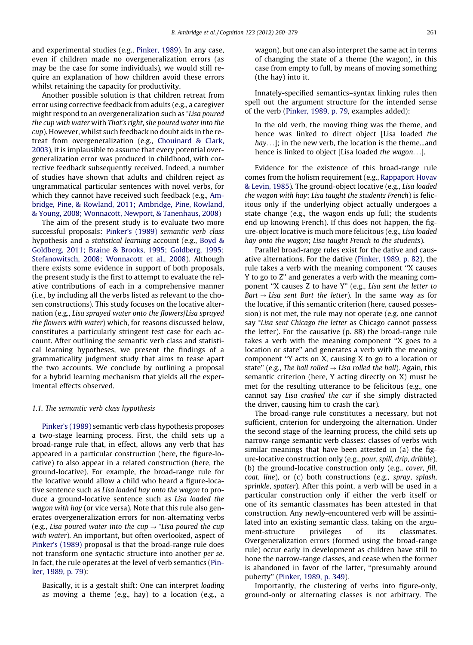and experimental studies (e.g., [Pinker, 1989](#page-19-0)). In any case, even if children made no overgeneralization errors (as may be the case for some individuals), we would still require an explanation of how children avoid these errors whilst retaining the capacity for productivity.

Another possible solution is that children retreat from error using corrective feedback from adults (e.g., a caregiver might respond to an overgeneralization such as \*Lisa poured the cup with water with That's right, she poured water into the cup). However, whilst such feedback no doubt aids in the retreat from overgeneralization (e.g., [Chouinard & Clark,](#page-18-0) [2003\)](#page-18-0), it is implausible to assume that every potential overgeneralization error was produced in childhood, with corrective feedback subsequently received. Indeed, a number of studies have shown that adults and children reject as ungrammatical particular sentences with novel verbs, for which they cannot have received such feedback (e.g., [Am](#page-18-0)[bridge, Pine, & Rowland, 2011; Ambridge, Pine, Rowland,](#page-18-0) [& Young, 2008; Wonnacott, Newport, & Tanenhaus, 2008\)](#page-18-0)

The aim of the present study is to evaluate two more successful proposals: [Pinker's \(1989\)](#page-19-0) semantic verb class hypothesis and a statistical learning account (e.g., [Boyd &](#page-18-0) [Goldberg, 2011; Braine & Brooks, 1995; Goldberg, 1995;](#page-18-0) [Stefanowitsch, 2008; Wonnacott et al., 2008](#page-18-0)). Although there exists some evidence in support of both proposals, the present study is the first to attempt to evaluate the relative contributions of each in a comprehensive manner (i.e., by including all the verbs listed as relevant to the chosen constructions). This study focuses on the locative alternation (e.g., Lisa sprayed water onto the flowers/Lisa sprayed the flowers with water) which, for reasons discussed below, constitutes a particularly stringent test case for each account. After outlining the semantic verb class and statistical learning hypotheses, we present the findings of a grammaticality judgment study that aims to tease apart the two accounts. We conclude by outlining a proposal for a hybrid learning mechanism that yields all the experimental effects observed.

## 1.1. The semantic verb class hypothesis

[Pinker's \(1989\)](#page-19-0) semantic verb class hypothesis proposes a two-stage learning process. First, the child sets up a broad-range rule that, in effect, allows any verb that has appeared in a particular construction (here, the figure-locative) to also appear in a related construction (here, the ground-locative). For example, the broad-range rule for the locative would allow a child who heard a figure-locative sentence such as Lisa loaded hay onto the wagon to produce a ground-locative sentence such as Lisa loaded the wagon with hay (or vice versa). Note that this rule also generates overgeneralization errors for non-alternating verbs (e.g., Lisa poured water into the cup  $\rightarrow$  \*Lisa poured the cup with water). An important, but often overlooked, aspect of [Pinker's \(1989\)](#page-19-0) proposal is that the broad-range rule does not transform one syntactic structure into another per se. In fact, the rule operates at the level of verb semantics ([Pin](#page-19-0)[ker, 1989, p. 79](#page-19-0)):

Basically, it is a gestalt shift: One can interpret loading as moving a theme (e.g., hay) to a location (e.g., a

wagon), but one can also interpret the same act in terms of changing the state of a theme (the wagon), in this case from empty to full, by means of moving something (the hay) into it.

Innately-specified semantics–syntax linking rules then spell out the argument structure for the intended sense of the verb [\(Pinker, 1989, p. 79](#page-19-0), examples added):

In the old verb, the moving thing was the theme, and hence was linked to direct object [Lisa loaded the  $hay...$ ]; in the new verb, the location is the theme...and hence is linked to object [Lisa loaded the wagon...].

Evidence for the existence of this broad-range rule comes from the holism requirement (e.g., [Rappaport Hovav](#page-19-0) [& Levin, 1985](#page-19-0)). The ground-object locative (e.g., Lisa loaded the wagon with hay; Lisa taught the students French) is felicitous only if the underlying object actually undergoes a state change (e.g., the wagon ends up full; the students end up knowing French). If this does not happen, the figure-object locative is much more felicitous (e.g., Lisa loaded hay onto the wagon; Lisa taught French to the students).

Parallel broad-range rules exist for the dative and causative alternations. For the dative ([Pinker, 1989, p. 82](#page-19-0)), the rule takes a verb with the meaning component ''X causes Y to go to Z'' and generates a verb with the meaning component ''X causes Z to have Y'' (e.g., Lisa sent the letter to Bart  $\rightarrow$  Lisa sent Bart the letter). In the same way as for the locative, if this semantic criterion (here, caused possession) is not met, the rule may not operate (e.g. one cannot say \*Lisa sent Chicago the letter as Chicago cannot possess the letter). For the causative (p. 88) the broad-range rule takes a verb with the meaning component ''X goes to a location or state'' and generates a verb with the meaning component ''Y acts on X, causing X to go to a location or state" (e.g., The ball rolled  $\rightarrow$  Lisa rolled the ball). Again, this semantic criterion (here, Y acting directly on X) must be met for the resulting utterance to be felicitous (e.g., one cannot say Lisa crashed the car if she simply distracted the driver, causing him to crash the car).

The broad-range rule constitutes a necessary, but not sufficient, criterion for undergoing the alternation. Under the second stage of the learning process, the child sets up narrow-range semantic verb classes: classes of verbs with similar meanings that have been attested in (a) the figure-locative construction only (e.g., pour, spill, drip, dribble), (b) the ground-locative construction only (e.g., cover, fill, coat, line), or (c) both constructions (e.g., spray, splash, sprinkle, spatter). After this point, a verb will be used in a particular construction only if either the verb itself or one of its semantic classmates has been attested in that construction. Any newly-encountered verb will be assimilated into an existing semantic class, taking on the argument-structure privileges of its classmates. Overgeneralization errors (formed using the broad-range rule) occur early in development as children have still to hone the narrow-range classes, and cease when the former is abandoned in favor of the latter, ''presumably around puberty'' [\(Pinker, 1989, p. 349](#page-19-0)).

Importantly, the clustering of verbs into figure-only, ground-only or alternating classes is not arbitrary. The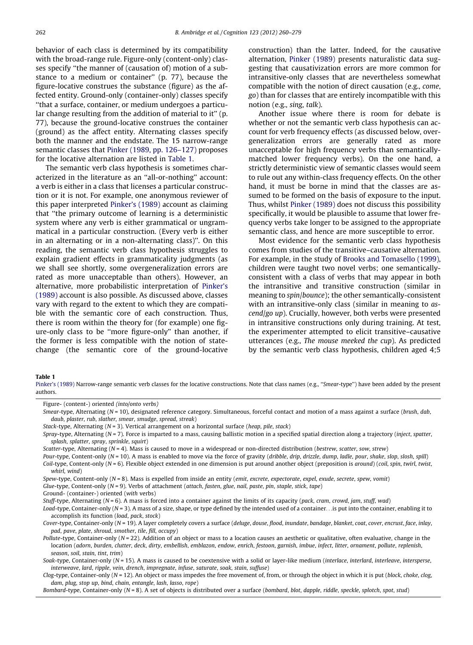<span id="page-2-0"></span>behavior of each class is determined by its compatibility with the broad-range rule. Figure-only (content-only) classes specify ''the manner of (causation of) motion of a substance to a medium or container'' (p. 77), because the figure-locative construes the substance (figure) as the affected entity. Ground-only (container-only) classes specify ''that a surface, container, or medium undergoes a particular change resulting from the addition of material to it'' (p. 77), because the ground-locative construes the container (ground) as the affect entity. Alternating classes specify both the manner and the endstate. The 15 narrow-range semantic classes that [Pinker \(1989, pp. 126–127\)](#page-19-0) proposes for the locative alternation are listed in Table 1.

The semantic verb class hypothesis is sometimes characterized in the literature as an ''all-or-nothing'' account: a verb is either in a class that licenses a particular construction or it is not. For example, one anonymous reviewer of this paper interpreted [Pinker's \(1989\)](#page-19-0) account as claiming that ''the primary outcome of learning is a deterministic system where any verb is either grammatical or ungrammatical in a particular construction. (Every verb is either in an alternating or in a non-alternating class)''. On this reading, the semantic verb class hypothesis struggles to explain gradient effects in grammaticality judgments (as we shall see shortly, some overgeneralization errors are rated as more unacceptable than others). However, an alternative, more probabilistic interpretation of [Pinker's](#page-19-0) [\(1989\)](#page-19-0) account is also possible. As discussed above, classes vary with regard to the extent to which they are compatible with the semantic core of each construction. Thus, there is room within the theory for (for example) one figure-only class to be ''more figure-only'' than another, if the former is less compatible with the notion of statechange (the semantic core of the ground-locative

construction) than the latter. Indeed, for the causative alternation, [Pinker \(1989\)](#page-19-0) presents naturalistic data suggesting that causativization errors are more common for intransitive-only classes that are nevertheless somewhat compatible with the notion of direct causation (e.g., come, go) than for classes that are entirely incompatible with this notion (e.g., sing, talk).

Another issue where there is room for debate is whether or not the semantic verb class hypothesis can account for verb frequency effects (as discussed below, overgeneralization errors are generally rated as more unacceptable for high frequency verbs than semanticallymatched lower frequency verbs). On the one hand, a strictly deterministic view of semantic classes would seem to rule out any within-class frequency effects. On the other hand, it must be borne in mind that the classes are assumed to be formed on the basis of exposure to the input. Thus, whilst [Pinker \(1989\)](#page-19-0) does not discuss this possibility specifically, it would be plausible to assume that lower frequency verbs take longer to be assigned to the appropriate semantic class, and hence are more susceptible to error.

Most evidence for the semantic verb class hypothesis comes from studies of the transitive–causative alternation. For example, in the study of [Brooks and Tomasello \(1999\),](#page-18-0) children were taught two novel verbs; one semanticallyconsistent with a class of verbs that may appear in both the intransitive and transitive construction (similar in meaning to spin/bounce); the other semantically-consistent with an intransitive-only class (similar in meaning to *as*cend/go up). Crucially, however, both verbs were presented in intransitive constructions only during training. At test, the experimenter attempted to elicit transitive–causative utterances (e.g., The mouse meeked the cup). As predicted by the semantic verb class hypothesis, children aged 4;5

# Table 1

[Pinker's \(1989\)](#page-19-0) Narrow-range semantic verb classes for the locative constructions. Note that class names (e.g., "Smear-type") have been added by the present authors.

Figure- (content-) oriented (into/onto verbs)

Stack-type, Alternating  $(N = 3)$ . Vertical arrangement on a horizontal surface (heap, pile, stack)

Spray-type, Alternating ( $N = 7$ ). Force is imparted to a mass, causing ballistic motion in a specified spatial direction along a trajectory (inject, spatter, splash, splatter, spray, sprinkle, squirt)

Scatter-type, Alternating (N = 4). Mass is caused to move in a widespread or non-directed distribution (bestrew, scatter, sow, strew)

Pour-type, Content-only (N = 10). A mass is enabled to move via the force of gravity (dribble, drip, drizzle, dump, ladle, pour, shake, slop, slosh, spill) Coil-type, Content-only (N = 6). Flexible object extended in one dimension is put around another object (preposition is around) (coil, spin, twirl, twist, whirl, wind)

Spew-type, Content-only (N = 8). Mass is expelled from inside an entity (emit, excrete, expectorate, expel, exude, secrete, spew, vomit)

Glue-type, Content-only (N = 9). Verbs of attachment (attach, fasten, glue, nail, paste, pin, staple, stick, tape)

Ground- (container-) oriented (with verbs)

Stuff-type, Alternating ( $N = 6$ ). A mass is forced into a container against the limits of its capacity (pack, cram, crowd, jam, stuff, wad)

Load-type, Container-only (N = 3). A mass of a size, shape, or type defined by the intended used of a container...is put into the container, enabling it to accomplish its function (load, pack, stock)

Cover-type, Container-only (N = 19). A layer completely covers a surface (deluge, douse, flood, inundate, bandage, blanket, coat, cover, encrust, face, inlay, pad, pave, plate, shroud, smother, tile, fill, occupy)

Pollute-type, Container-only ( $N = 22$ ). Addition of an object or mass to a location causes an aesthetic or qualitative, often evaluative, change in the location (adorn, burden, clutter, deck, dirty, embellish, emblazon, endow, enrich, festoon, garnish, imbue, infect, litter, ornament, pollute, replenish, season, soil, stain, tint, trim)

Clog-type, Container-only ( $N = 12$ ). An object or mass impedes the free movement of, from, or through the object in which it is put (block, choke, clog, dam, plug, stop up, bind, chain, entangle, lash, lasso, rope)

Bombard-type, Container-only (N = 8). A set of objects is distributed over a surface (bombard, blot, dapple, riddle, speckle, splotch, spot, stud)

Smear-type, Alternating (N = 10), designated reference category. Simultaneous, forceful contact and motion of a mass against a surface (brush, dab, daub, plaster, rub, slather, smear, smudge, spread, streak)

Soak-type, Container-only ( $N = 15$ ). A mass is caused to be coextensive with a solid or layer-like medium (interlace, interlard, interlave, intersperse, interweave, lard, ripple, vein, drench, impregnate, infuse, saturate, soak, stain, suffuse)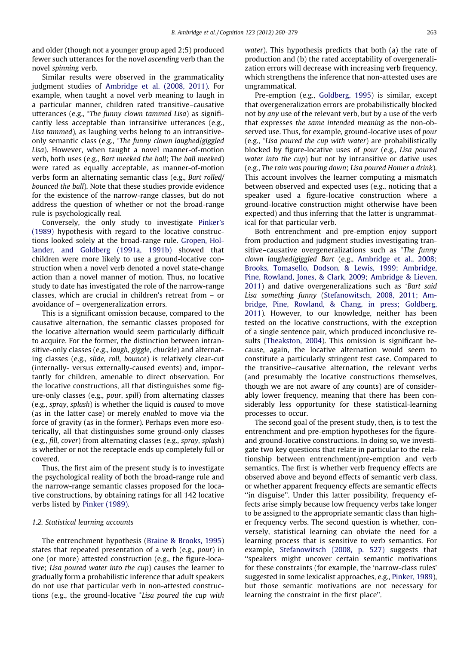and older (though not a younger group aged 2;5) produced fewer such utterances for the novel ascending verb than the novel spinning verb.

Similar results were observed in the grammaticality judgment studies of [Ambridge et al. \(2008, 2011\)](#page-18-0). For example, when taught a novel verb meaning to laugh in a particular manner, children rated transitive–causative utterances (e.g., \*The funny clown tammed Lisa) as significantly less acceptable than intransitive utterances (e.g., Lisa tammed), as laughing verbs belong to an intransitiveonly semantic class (e.g., *\*The funny clown laughed*/giggled Lisa). However, when taught a novel manner-of-motion verb, both uses (e.g., Bart meeked the ball; The ball meeked) were rated as equally acceptable, as manner-of-motion verbs form an alternating semantic class (e.g., Bart rolled/ bounced the ball). Note that these studies provide evidence for the existence of the narrow-range classes, but do not address the question of whether or not the broad-range rule is psychologically real.

Conversely, the only study to investigate [Pinker's](#page-19-0) [\(1989\)](#page-19-0) hypothesis with regard to the locative constructions looked solely at the broad-range rule. [Gropen, Hol](#page-18-0)[lander, and Goldberg \(1991a, 1991b\)](#page-18-0) showed that children were more likely to use a ground-locative construction when a novel verb denoted a novel state-change action than a novel manner of motion. Thus, no locative study to date has investigated the role of the narrow-range classes, which are crucial in children's retreat from – or avoidance of – overgeneralization errors.

This is a significant omission because, compared to the causative alternation, the semantic classes proposed for the locative alternation would seem particularly difficult to acquire. For the former, the distinction between intransitive-only classes (e.g., laugh, giggle, chuckle) and alternating classes (e.g., slide, roll, bounce) is relatively clear-cut (internally- versus externally-caused events) and, importantly for children, amenable to direct observation. For the locative constructions, all that distinguishes some figure-only classes (e.g., pour, spill) from alternating classes (e.g., spray, splash) is whether the liquid is caused to move (as in the latter case) or merely enabled to move via the force of gravity (as in the former). Perhaps even more esoterically, all that distinguishes some ground-only classes (e.g., fill, cover) from alternating classes (e.g., spray, splash) is whether or not the receptacle ends up completely full or covered.

Thus, the first aim of the present study is to investigate the psychological reality of both the broad-range rule and the narrow-range semantic classes proposed for the locative constructions, by obtaining ratings for all 142 locative verbs listed by [Pinker \(1989\)](#page-19-0).

# 1.2. Statistical learning accounts

The entrenchment hypothesis [\(Braine & Brooks, 1995](#page-18-0)) states that repeated presentation of a verb (e.g., pour) in one (or more) attested construction (e.g., the figure-locative; Lisa poured water into the cup) causes the learner to gradually form a probabilistic inference that adult speakers do not use that particular verb in non-attested constructions (e.g., the ground-locative \*Lisa poured the cup with

water). This hypothesis predicts that both (a) the rate of production and (b) the rated acceptability of overgeneralization errors will decrease with increasing verb frequency, which strengthens the inference that non-attested uses are ungrammatical.

Pre-emption (e.g., [Goldberg, 1995](#page-18-0)) is similar, except that overgeneralization errors are probabilistically blocked not by any use of the relevant verb, but by a use of the verb that expresses the same intended meaning as the non-observed use. Thus, for example, ground-locative uses of pour (e.g., \*Lisa poured the cup with water) are probabilistically blocked by figure-locative uses of pour (e.g., Lisa poured water into the cup) but not by intransitive or dative uses (e.g., The rain was pouring down; Lisa poured Homer a drink). This account involves the learner computing a mismatch between observed and expected uses (e.g., noticing that a speaker used a figure-locative construction where a ground-locative construction might otherwise have been expected) and thus inferring that the latter is ungrammatical for that particular verb.

Both entrenchment and pre-emption enjoy support from production and judgment studies investigating transitive-causative overgeneralizations such as \*The funny clown laughed/giggled Bart (e.g., [Ambridge et al., 2008;](#page-18-0) [Brooks, Tomasello, Dodson, & Lewis, 1999; Ambridge,](#page-18-0) [Pine, Rowland, Jones, & Clark, 2009; Ambridge & Lieven,](#page-18-0)  $2011$ ) and dative overgeneralizations such as  $*$ Bart said Lisa something funny [\(Stefanowitsch, 2008, 2011; Am](#page-19-0)[bridge, Pine, Rowland, & Chang, in press; Goldberg,](#page-19-0) [2011\)](#page-19-0). However, to our knowledge, neither has been tested on the locative constructions, with the exception of a single sentence pair, which produced inconclusive results ([Theakston, 2004](#page-19-0)). This omission is significant because, again, the locative alternation would seem to constitute a particularly stringent test case. Compared to the transitive–causative alternation, the relevant verbs (and presumably the locative constructions themselves, though we are not aware of any counts) are of considerably lower frequency, meaning that there has been considerably less opportunity for these statistical-learning processes to occur.

The second goal of the present study, then, is to test the entrenchment and pre-emption hypotheses for the figureand ground-locative constructions. In doing so, we investigate two key questions that relate in particular to the relationship between entrenchment/pre-emption and verb semantics. The first is whether verb frequency effects are observed above and beyond effects of semantic verb class, or whether apparent frequency effects are semantic effects ''in disguise''. Under this latter possibility, frequency effects arise simply because low frequency verbs take longer to be assigned to the appropriate semantic class than higher frequency verbs. The second question is whether, conversely, statistical learning can obviate the need for a learning process that is sensitive to verb semantics. For example, [Stefanowitsch \(2008, p. 527\)](#page-19-0) suggests that ''speakers might uncover certain semantic motivations for these constraints (for example, the 'narrow-class rules' suggested in some lexicalist approaches, e.g., [Pinker, 1989](#page-19-0)), but those semantic motivations are not necessary for learning the constraint in the first place''.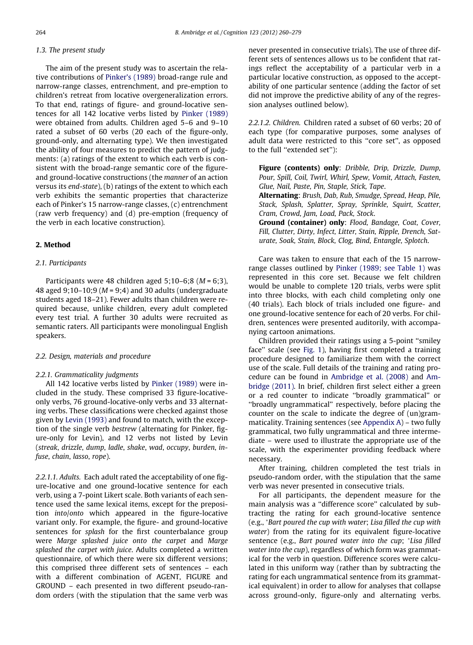# 1.3. The present study

The aim of the present study was to ascertain the relative contributions of [Pinker's \(1989\)](#page-19-0) broad-range rule and narrow-range classes, entrenchment, and pre-emption to children's retreat from locative overgeneralization errors. To that end, ratings of figure- and ground-locative sentences for all 142 locative verbs listed by [Pinker \(1989\)](#page-19-0) were obtained from adults. Children aged 5–6 and 9–10 rated a subset of 60 verbs (20 each of the figure-only, ground-only, and alternating type). We then investigated the ability of four measures to predict the pattern of judgments: (a) ratings of the extent to which each verb is consistent with the broad-range semantic core of the figureand ground-locative constructions (the manner of an action versus its end-state), (b) ratings of the extent to which each verb exhibits the semantic properties that characterize each of Pinker's 15 narrow-range classes, (c) entrenchment (raw verb frequency) and (d) pre-emption (frequency of the verb in each locative construction).

# 2. Method

# 2.1. Participants

Participants were 48 children aged  $5;10-6;8$  ( $M = 6;3$ ), 48 aged  $9;10-10;9$  ( $M = 9;4$ ) and 30 adults (undergraduate students aged 18–21). Fewer adults than children were required because, unlike children, every adult completed every test trial. A further 30 adults were recruited as semantic raters. All participants were monolingual English speakers.

## 2.2. Design, materials and procedure

## 2.2.1. Grammaticality judgments

All 142 locative verbs listed by [Pinker \(1989\)](#page-19-0) were included in the study. These comprised 33 figure-locativeonly verbs, 76 ground-locative-only verbs and 33 alternating verbs. These classifications were checked against those given by [Levin \(1993\)](#page-18-0) and found to match, with the exception of the single verb bestrew (alternating for Pinker, figure-only for Levin), and 12 verbs not listed by Levin (streak, drizzle, dump, ladle, shake, wad, occupy, burden, infuse, chain, lasso, rope).

2.2.1.1. Adults. Each adult rated the acceptability of one figure-locative and one ground-locative sentence for each verb, using a 7-point Likert scale. Both variants of each sentence used the same lexical items, except for the preposition into/onto which appeared in the figure-locative variant only. For example, the figure- and ground-locative sentences for splash for the first counterbalance group were Marge splashed juice onto the carpet and Marge splashed the carpet with juice. Adults completed a written questionnaire, of which there were six different versions; this comprised three different sets of sentences – each with a different combination of AGENT, FIGURE and GROUND – each presented in two different pseudo-random orders (with the stipulation that the same verb was never presented in consecutive trials). The use of three different sets of sentences allows us to be confident that ratings reflect the acceptability of a particular verb in a particular locative construction, as opposed to the acceptability of one particular sentence (adding the factor of set did not improve the predictive ability of any of the regression analyses outlined below).

2.2.1.2. Children. Children rated a subset of 60 verbs; 20 of each type (for comparative purposes, some analyses of adult data were restricted to this ''core set'', as opposed to the full ''extended set''):

Figure (contents) only: Dribble, Drip, Drizzle, Dump, Pour, Spill, Coil, Twirl, Whirl, Spew, Vomit, Attach, Fasten, Glue, Nail, Paste, Pin, Staple, Stick, Tape.

Alternating: Brush, Dab, Rub, Smudge, Spread, Heap, Pile, Stack, Splash, Splatter, Spray, Sprinkle, Squirt, Scatter, Cram, Crowd, Jam, Load, Pack, Stock.

Ground (container) only: Flood, Bandage, Coat, Cover, Fill, Clutter, Dirty, Infect, Litter, Stain, Ripple, Drench, Saturate, Soak, Stain, Block, Clog, Bind, Entangle, Splotch.

Care was taken to ensure that each of the 15 narrowrange classes outlined by [Pinker \(1989; see Table 1\)](#page-19-0) was represented in this core set. Because we felt children would be unable to complete 120 trials, verbs were split into three blocks, with each child completing only one (40 trials). Each block of trials included one figure- and one ground-locative sentence for each of 20 verbs. For children, sentences were presented auditorily, with accompanying cartoon animations.

Children provided their ratings using a 5-point ''smiley face'' scale (see [Fig. 1\)](#page-5-0), having first completed a training procedure designed to familiarize them with the correct use of the scale. Full details of the training and rating procedure can be found in [Ambridge et al. \(2008\)](#page-18-0) and [Am](#page-18-0)[bridge \(2011\)](#page-18-0). In brief, children first select either a green or a red counter to indicate ''broadly grammatical'' or ''broadly ungrammatical'' respectively, before placing the counter on the scale to indicate the degree of (un)grammaticality. Training sentences (see Appendix A) – two fully grammatical, two fully ungrammatical and three intermediate – were used to illustrate the appropriate use of the scale, with the experimenter providing feedback where necessary.

After training, children completed the test trials in pseudo-random order, with the stipulation that the same verb was never presented in consecutive trials.

For all participants, the dependent measure for the main analysis was a ''difference score'' calculated by subtracting the rating for each ground-locative sentence (e.g., \*Bart poured the cup with water; Lisa filled the cup with water) from the rating for its equivalent figure-locative sentence (e.g., Bart poured water into the cup; \*Lisa filled water into the cup), regardless of which form was grammatical for the verb in question. Difference scores were calculated in this uniform way (rather than by subtracting the rating for each ungrammatical sentence from its grammatical equivalent) in order to allow for analyses that collapse across ground-only, figure-only and alternating verbs.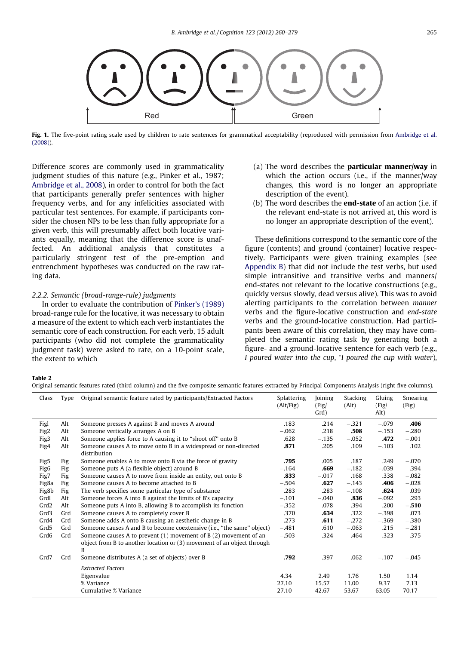<span id="page-5-0"></span>

Fig. 1. The five-point rating scale used by children to rate sentences for grammatical acceptability (reproduced with permission from [Ambridge et al.](#page-18-0) [\(2008\)\)](#page-18-0).

Difference scores are commonly used in grammaticality judgment studies of this nature (e.g., Pinker et al., 1987; [Ambridge et al., 2008\)](#page-18-0), in order to control for both the fact that participants generally prefer sentences with higher frequency verbs, and for any infelicities associated with particular test sentences. For example, if participants consider the chosen NPs to be less than fully appropriate for a given verb, this will presumably affect both locative variants equally, meaning that the difference score is unaffected. An additional analysis that constitutes a particularly stringent test of the pre-emption and entrenchment hypotheses was conducted on the raw rating data.

# 2.2.2. Semantic (broad-range-rule) judgments

In order to evaluate the contribution of [Pinker's \(1989\)](#page-19-0) broad-range rule for the locative, it was necessary to obtain a measure of the extent to which each verb instantiates the semantic core of each construction. For each verb, 15 adult participants (who did not complete the grammaticality judgment task) were asked to rate, on a 10-point scale, the extent to which

- (a) The word describes the particular manner/way in which the action occurs (i.e., if the manner/way changes, this word is no longer an appropriate description of the event).
- (b) The word describes the **end-state** of an action (i.e. if the relevant end-state is not arrived at, this word is no longer an appropriate description of the event).

These definitions correspond to the semantic core of the figure (contents) and ground (container) locative respectively. Participants were given training examples (see Appendix B) that did not include the test verbs, but used simple intransitive and transitive verbs and manners/ end-states not relevant to the locative constructions (e.g., quickly versus slowly, dead versus alive). This was to avoid alerting participants to the correlation between manner verbs and the figure-locative construction and end-state verbs and the ground-locative construction. Had participants been aware of this correlation, they may have completed the semantic rating task by generating both a figure- and a ground-locative sentence for each verb (e.g., I poured water into the cup, \*I poured the cup with water),

#### Table 2

|  |  |  | Original semantic features rated (third column) and the five composite semantic features extracted by Principal Components Analysis (right five columns). |
|--|--|--|-----------------------------------------------------------------------------------------------------------------------------------------------------------|
|--|--|--|-----------------------------------------------------------------------------------------------------------------------------------------------------------|

| Class            | Type | Original semantic feature rated by participants/Extracted Factors               | Splattering<br>(Alt/Fig) | Joining<br>(Fig)<br>Grd) | Stacking<br>(Alt) | Gluing<br>(Fig)<br>Alt) | Smearing<br>(Fig) |
|------------------|------|---------------------------------------------------------------------------------|--------------------------|--------------------------|-------------------|-------------------------|-------------------|
| Figl             | Alt  | Someone presses A against B and moves A around                                  | .183                     | .214                     | $-.321$           | $-.079$                 | .406              |
| Fig2             | Alt  | Someone vertically arranges A on B                                              | $-.062$                  | .218                     | .508              | $-.153$                 | $-.280$           |
| Fig3             | Alt  | Someone applies force to A causing it to "shoot off" onto B                     | .628                     | $-.135$                  | $-.052$           | .472                    | $-.001$           |
| Fig4             | Alt  | Someone causes A to move onto B in a widespread or non-directed<br>distribution | .871                     | .205                     | .109              | $-.103$                 | .102              |
| Fig5             | Fig  | Someone enables A to move onto B via the force of gravity                       | .795                     | .005                     | .187              | .249                    | $-.070$           |
| Fig <sub>6</sub> | Fig  | Someone puts A (a flexible object) around B                                     | $-.164$                  | .669                     | $-.182$           | $-.039$                 | .394              |
| Fig7             | Fig  | Someone causes A to move from inside an entity, out onto B                      | .833                     | $-.017$                  | .168              | .338                    | $-.082$           |
| Fig8a            | Fig  | Someone causes A to become attached to B                                        | $-.504$                  | .627                     | $-.143$           | .406                    | $-.028$           |
| Fig8b            | Fig  | The verb specifies some particular type of substance                            | .283                     | .283                     | $-.108$           | .624                    | .039              |
| Grdl             | Alt  | Someone forces A into B against the limits of B's capacity                      | $-.101$                  | $-.040$                  | .836              | $-.092$                 | .293              |
| Grd2             | Alt  | Someone puts A into B, allowing B to accomplish its function                    | $-.352$                  | .078                     | .394              | .200                    | $-.510$           |
| Grd3             | Grd  | Someone causes A to completely cover B                                          | .370                     | .634                     | .322              | $-.398$                 | .073              |
| Grd4             | Grd  | Someone adds A onto B causing an aesthetic change in B                          | .273                     | .611                     | $-.272$           | $-.369$                 | $-.380$           |
| Grd5             | Grd  | Someone causes A and B to become coextensive (i.e., "the same" object)          | $-.481$                  | .610                     | $-.063$           | .215                    | $-.281$           |
| Grd6             | Grd  | Someone causes A to prevent $(1)$ movement of B $(2)$ movement of an            | $-.503$                  | .324                     | .464              | .323                    | .375              |
|                  |      | object from B to another location or (3) movement of an object through<br>R     |                          |                          |                   |                         |                   |
| Grd7             | Grd  | Someone distributes A (a set of objects) over B                                 | .792                     | .397                     | .062              | $-.107$                 | $-.045$           |
|                  |      | <b>Extracted Factors</b>                                                        |                          |                          |                   |                         |                   |
|                  |      | Eigenvalue                                                                      | 4.34                     | 2.49                     | 1.76              | 1.50                    | 1.14              |
|                  |      | % Variance                                                                      | 27.10                    | 15.57                    | 11.00             | 9.37                    | 7.13              |
|                  |      | Cumulative % Variance                                                           | 27.10                    | 42.67                    | 53.67             | 63.05                   | 70.17             |
|                  |      |                                                                                 |                          |                          |                   |                         |                   |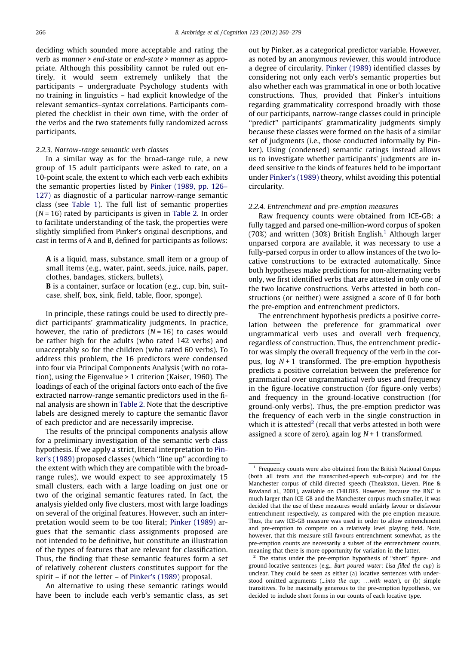deciding which sounded more acceptable and rating the verb as manner > end-state or end-state > manner as appropriate. Although this possibility cannot be ruled out entirely, it would seem extremely unlikely that the participants – undergraduate Psychology students with no training in linguistics – had explicit knowledge of the relevant semantics–syntax correlations. Participants completed the checklist in their own time, with the order of the verbs and the two statements fully randomized across participants.

### 2.2.3. Narrow-range semantic verb classes

In a similar way as for the broad-range rule, a new group of 15 adult participants were asked to rate, on a 10-point scale, the extent to which each verb each exhibits the semantic properties listed by [Pinker \(1989, pp. 126–](#page-19-0) [127\)](#page-19-0) as diagnostic of a particular narrow-range semantic class (see [Table 1\)](#page-2-0). The full list of semantic properties  $(N = 16)$  rated by participants is given in [Table 2.](#page-5-0) In order to facilitate understanding of the task, the properties were slightly simplified from Pinker's original descriptions, and cast in terms of A and B, defined for participants as follows:

A is a liquid, mass, substance, small item or a group of small items (e.g., water, paint, seeds, juice, nails, paper, clothes, bandages, stickers, bullets).

B is a container, surface or location (e.g., cup, bin, suitcase, shelf, box, sink, field, table, floor, sponge).

In principle, these ratings could be used to directly predict participants' grammaticality judgments. In practice, however, the ratio of predictors  $(N = 16)$  to cases would be rather high for the adults (who rated 142 verbs) and unacceptably so for the children (who rated 60 verbs). To address this problem, the 16 predictors were condensed into four via Principal Components Analysis (with no rotation), using the Eigenvalue > 1 criterion (Kaiser, 1960). The loadings of each of the original factors onto each of the five extracted narrow-range semantic predictors used in the final analysis are shown in [Table 2.](#page-5-0) Note that the descriptive labels are designed merely to capture the semantic flavor of each predictor and are necessarily imprecise.

The results of the principal components analysis allow for a preliminary investigation of the semantic verb class hypothesis. If we apply a strict, literal interpretation to [Pin](#page-19-0)[ker's \(1989\)](#page-19-0) proposed classes (which ''line up'' according to the extent with which they are compatible with the broadrange rules), we would expect to see approximately 15 small clusters, each with a large loading on just one or two of the original semantic features rated. In fact, the analysis yielded only five clusters, most with large loadings on several of the original features. However, such an interpretation would seem to be too literal; [Pinker \(1989\)](#page-19-0) argues that the semantic class assignments proposed are not intended to be definitive, but constitute an illustration of the types of features that are relevant for classification. Thus, the finding that these semantic features form a set of relatively coherent clusters constitutes support for the spirit – if not the letter – of [Pinker's \(1989\)](#page-19-0) proposal.

An alternative to using these semantic ratings would have been to include each verb's semantic class, as set

out by Pinker, as a categorical predictor variable. However, as noted by an anonymous reviewer, this would introduce a degree of circularity. [Pinker \(1989\)](#page-19-0) identified classes by considering not only each verb's semantic properties but also whether each was grammatical in one or both locative constructions. Thus, provided that Pinker's intuitions regarding grammaticality correspond broadly with those of our participants, narrow-range classes could in principle ''predict'' participants' grammaticality judgments simply because these classes were formed on the basis of a similar set of judgments (i.e., those conducted informally by Pinker). Using (condensed) semantic ratings instead allows us to investigate whether participants' judgments are indeed sensitive to the kinds of features held to be important under [Pinker's \(1989\)](#page-19-0) theory, whilst avoiding this potential circularity.

# 2.2.4. Entrenchment and pre-emption measures

Raw frequency counts were obtained from ICE-GB: a fully tagged and parsed one-million-word corpus of spoken (70%) and written (30%) British English.<sup>1</sup> Although larger unparsed corpora are available, it was necessary to use a fully-parsed corpus in order to allow instances of the two locative constructions to be extracted automatically. Since both hypotheses make predictions for non-alternating verbs only, we first identified verbs that are attested in only one of the two locative constructions. Verbs attested in both constructions (or neither) were assigned a score of 0 for both the pre-emption and entrenchment predictors.

The entrenchment hypothesis predicts a positive correlation between the preference for grammatical over ungrammatical verb uses and overall verb frequency, regardless of construction. Thus, the entrenchment predictor was simply the overall frequency of the verb in the corpus,  $log N + 1$  transformed. The pre-emption hypothesis predicts a positive correlation between the preference for grammatical over ungrammatical verb uses and frequency in the figure-locative construction (for figure-only verbs) and frequency in the ground-locative construction (for ground-only verbs). Thus, the pre-emption predictor was the frequency of each verb in the single construction in which it is attested<sup>2</sup> (recall that verbs attested in both were assigned a score of zero), again  $log N + 1$  transformed.

<sup>1</sup> Frequency counts were also obtained from the British National Corpus (both all texts and the transcribed-speech sub-corpus) and for the Manchester corpus of child-directed speech (Theakston, Lieven, Pine & Rowland al., 2001), available on CHILDES. However, because the BNC is much larger than ICE-GB and the Manchester corpus much smaller, it was decided that the use of these measures would unfairly favour or disfavour entrenchment respectively, as compared with the pre-emption measure. Thus, the raw ICE-GB measure was used in order to allow entrenchment and pre-emption to compete on a relatively level playing field. Note, however, that this measure still favours entrenchment somewhat, as the pre-emption counts are necessarily a subset of the entrenchment counts, meaning that there is more opportunity for variation in the latter.

 $2$  The status under the pre-emption hypothesis of "short" figure- and ground-locative sentences (e.g., Bart poured water; Lisa filled the cup) is unclear. They could be seen as either (a) locative sentences with understood omitted arguments (...into the cup; ...with water), or (b) simple transitives. To be maximally generous to the pre-emption hypothesis, we decided to include short forms in our counts of each locative type.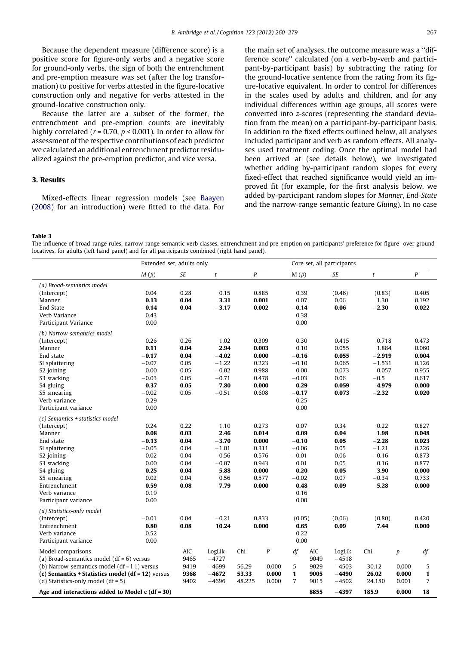<span id="page-7-0"></span>Because the dependent measure (difference score) is a positive score for figure-only verbs and a negative score for ground-only verbs, the sign of both the entrenchment and pre-emption measure was set (after the log transformation) to positive for verbs attested in the figure-locative construction only and negative for verbs attested in the ground-locative construction only.

Because the latter are a subset of the former, the entrenchment and pre-emption counts are inevitably highly correlated ( $r = 0.70$ ,  $p < 0.001$ ). In order to allow for assessment of the respective contributions of each predictor we calculated an additional entrenchment predictor residualized against the pre-emption predictor, and vice versa.

# 3. Results

Mixed-effects linear regression models (see [Baayen](#page-18-0) [\(2008\)](#page-18-0) for an introduction) were fitted to the data. For the main set of analyses, the outcome measure was a ''difference score'' calculated (on a verb-by-verb and participant-by-participant basis) by subtracting the rating for the ground-locative sentence from the rating from its figure-locative equivalent. In order to control for differences in the scales used by adults and children, and for any individual differences within age groups, all scores were converted into z-scores (representing the standard deviation from the mean) on a participant-by-participant basis. In addition to the fixed effects outlined below, all analyses included participant and verb as random effects. All analyses used treatment coding. Once the optimal model had been arrived at (see details below), we investigated whether adding by-participant random slopes for every fixed-effect that reached significance would yield an improved fit (for example, for the first analysis below, we added by-participant random slopes for Manner, End-State and the narrow-range semantic feature Gluing). In no case

Table 3

The influence of broad-range rules, narrow-range semantic verb classes, entrenchment and pre-emption on participants' preference for figure- over groundlocatives, for adults (left hand panel) and for all participants combined (right hand panel).

|                                                   | Extended set, adults only |            |                  |                  |                  | Core set, all participants |            |         |          |                  |                  |  |
|---------------------------------------------------|---------------------------|------------|------------------|------------------|------------------|----------------------------|------------|---------|----------|------------------|------------------|--|
|                                                   | $M(\beta)$                | SE         | $\boldsymbol{t}$ | $\boldsymbol{P}$ |                  | $M(\beta)$                 |            | SE      | t        |                  | $\boldsymbol{P}$ |  |
| (a) Broad-semantics model                         |                           |            |                  |                  |                  |                            |            |         |          |                  |                  |  |
| (Intercept)                                       | 0.04                      | 0.28       | 0.15             |                  | 0.885            | 0.39                       |            | (0.46)  | (0.83)   |                  | 0.405            |  |
| Manner                                            | 0.13                      | 0.04       | 3.31             |                  | 0.001            | 0.07                       |            | 0.06    | 1.30     |                  | 0.192            |  |
| End State                                         | $-0.14$                   | 0.04       | $-3.17$          |                  | 0.002            | $-0.14$                    |            | 0.06    | $-2.30$  |                  | 0.022            |  |
| Verb Variance                                     | 0.43                      |            |                  |                  |                  | 0.38                       |            |         |          |                  |                  |  |
| Participant Variance                              | 0.00                      |            |                  |                  |                  | 0.00                       |            |         |          |                  |                  |  |
| (b) Narrow-semantics model                        |                           |            |                  |                  |                  |                            |            |         |          |                  |                  |  |
| (Intercept)                                       | 0.26                      | 0.26       | 1.02             |                  | 0.309            | 0.30                       |            | 0.415   | 0.718    |                  | 0.473            |  |
| Manner                                            | 0.11                      | 0.04       | 2.94             |                  | 0.003            | 0.10                       |            | 0.055   | 1.884    |                  | 0.060            |  |
| End state                                         | $-0.17$                   | 0.04       | $-4.02$          |                  | 0.000            | $-0.16$                    |            | 0.055   | $-2.919$ |                  | 0.004            |  |
| SI splattering                                    | $-0.07$                   | 0.05       | $-1.22$          |                  | 0.223            | $-0.10$                    |            | 0.065   | $-1.531$ |                  | 0.126            |  |
| S <sub>2</sub> joining                            | 0.00                      | 0.05       | $-0.02$          |                  | 0.988            | 0.00                       |            | 0.073   | 0.057    |                  | 0.955            |  |
| S3 stacking                                       | $-0.03$                   | 0.05       | $-0.71$          |                  | 0.478            | $-0.03$                    |            | 0.06    | $-0.5$   |                  | 0.617            |  |
| S4 gluing                                         | 0.37                      | 0.05       | 7.80             |                  | 0.000            | 0.29                       |            | 0.059   | 4.979    |                  | 0.000            |  |
| S5 smearing                                       | $-0.02$                   | 0.05       | $-0.51$          |                  | 0.608            | $-0.17$                    |            | 0.073   | $-2.32$  |                  | 0.020            |  |
| Verb variance                                     | 0.29                      |            |                  |                  |                  | 0.25                       |            |         |          |                  |                  |  |
| Participant variance                              | 0.00                      |            |                  |                  |                  | 0.00                       |            |         |          |                  |                  |  |
| (c) Semantics + statistics model                  |                           |            |                  |                  |                  |                            |            |         |          |                  |                  |  |
| (Intercept)                                       | 0.24                      | 0.22       | 1.10             |                  | 0.273            | 0.07                       |            | 0.34    | 0.22     |                  | 0.827            |  |
| Manner                                            | 0.08                      | 0.03       | 2.46             |                  | 0.014            | 0.09                       |            | 0.04    | 1.98     |                  | 0.048            |  |
| End state                                         | $-0.13$                   | 0.04       | $-3.70$          |                  | 0.000            | $-0.10$                    |            | 0.05    | $-2.28$  |                  | 0.023            |  |
| SI splattering                                    | $-0.05$                   | 0.04       | $-1.01$          |                  | 0.311            | $-0.06$                    |            | 0.05    | $-1.21$  |                  | 0.226            |  |
| S2 joining                                        | 0.02                      | 0.04       | 0.56             |                  | 0.576            | $-0.01$                    |            | 0.06    | $-0.16$  |                  | 0.873            |  |
| S3 stacking                                       | 0.00                      | 0.04       | $-0.07$          |                  | 0.943            | 0.01                       |            | 0.05    | 0.16     |                  | 0.877            |  |
| S4 gluing                                         | 0.25                      | 0.04       | 5.88             |                  | 0.000            | 0.20                       |            | 0.05    | 3.90     |                  | 0.000            |  |
| S5 smearing                                       | 0.02                      | 0.04       | 0.56             |                  | 0.577            | $-0.02$                    |            | 0.07    | $-0.34$  |                  | 0.733            |  |
| Entrenchment                                      | 0.59                      | 0.08       | 7.79             |                  | 0.000            | 0.48                       |            | 0.09    | 5.28     |                  | 0.000            |  |
| Verb variance                                     | 0.19                      |            |                  |                  |                  | 0.16                       |            |         |          |                  |                  |  |
| Participant variance                              | 0.00                      |            |                  |                  |                  | 0.00                       |            |         |          |                  |                  |  |
| (d) Statistics-only model                         |                           |            |                  |                  |                  |                            |            |         |          |                  |                  |  |
| (Intercept)                                       | $-0.01$                   | 0.04       | $-0.21$          |                  | 0.833            | (0.05)                     |            | (0.06)  | (0.80)   |                  | 0.420            |  |
| Entrenchment                                      | 0.80                      | 0.08       | 10.24            |                  | 0.000            | 0.65                       |            | 0.09    | 7.44     |                  | 0.000            |  |
| Verb variance                                     | 0.52                      |            |                  |                  |                  | 0.22                       |            |         |          |                  |                  |  |
| Participant variance                              | 0.00                      |            |                  |                  |                  | 0.00                       |            |         |          |                  |                  |  |
| Model comparisons                                 |                           | <b>AIC</b> | LogLik           | Chi              | $\boldsymbol{P}$ | df                         | <b>AIC</b> | LogLik  | Chi      | $\boldsymbol{p}$ | df               |  |
| (a) Broad-semantics model $(df = 6)$ versus       |                           | 9465       | $-4727$          |                  |                  |                            | 9049       | $-4518$ |          |                  |                  |  |
| (b) Narrow-semantics model $(df = 1 1)$ versus    |                           | 9419       | $-4699$          | 56.29            | 0.000            | 5                          | 9029       | $-4503$ | 30.12    | 0.000            | 5                |  |
| (c) Semantics + Statistics model (df = 12) versus |                           | 9368       | $-4672$          | 53.33            | 0.000            | $\mathbf{1}$               | 9005       | $-4490$ | 26.02    | 0.000            | $\mathbf{1}$     |  |
| (d) Statistics-only model $(df = 5)$              |                           | 9402       | $-4696$          | 48.225           | 0.000            | $\overline{7}$             | 9015       | $-4502$ | 24.180   | 0.001            | $\overline{7}$   |  |
| Age and interactions added to Model $c$ (df = 30) |                           |            |                  |                  |                  |                            | 8855       | -4397   | 185.9    | 0.000            | 18               |  |
|                                                   |                           |            |                  |                  |                  |                            |            |         |          |                  |                  |  |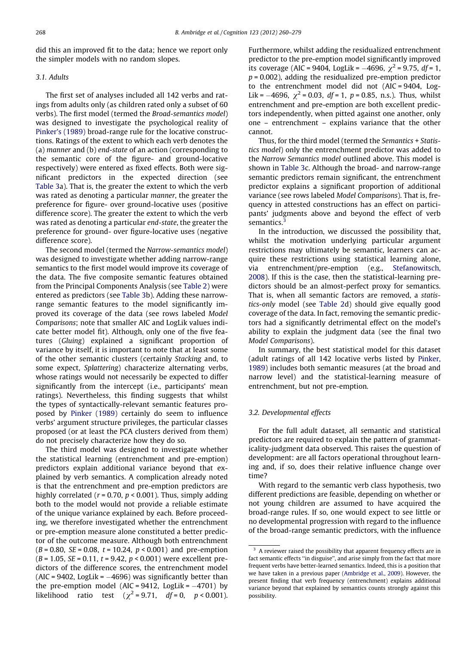did this an improved fit to the data; hence we report only the simpler models with no random slopes.

# 3.1. Adults

The first set of analyses included all 142 verbs and ratings from adults only (as children rated only a subset of 60 verbs). The first model (termed the Broad-semantics model) was designed to investigate the psychological reality of [Pinker's \(1989\)](#page-19-0) broad-range rule for the locative constructions. Ratings of the extent to which each verb denotes the (a) manner and (b) end-state of an action (corresponding to the semantic core of the figure- and ground-locative respectively) were entered as fixed effects. Both were significant predictors in the expected direction (see [Table 3a](#page-7-0)). That is, the greater the extent to which the verb was rated as denoting a particular manner, the greater the preference for figure- over ground-locative uses (positive difference score). The greater the extent to which the verb was rated as denoting a particular end-state, the greater the preference for ground- over figure-locative uses (negative difference score).

The second model (termed the Narrow-semantics model) was designed to investigate whether adding narrow-range semantics to the first model would improve its coverage of the data. The five composite semantic features obtained from the Principal Components Analysis (see [Table 2](#page-5-0)) were entered as predictors (see [Table 3](#page-7-0)b). Adding these narrowrange semantic features to the model significantly improved its coverage of the data (see rows labeled Model Comparisons; note that smaller AIC and LogLik values indicate better model fit). Although, only one of the five features (Gluing) explained a significant proportion of variance by itself, it is important to note that at least some of the other semantic clusters (certainly Stacking and, to some expect, Splattering) characterize alternating verbs, whose ratings would not necessarily be expected to differ significantly from the intercept (i.e., participants' mean ratings). Nevertheless, this finding suggests that whilst the types of syntactically-relevant semantic features proposed by [Pinker \(1989\)](#page-19-0) certainly do seem to influence verbs' argument structure privileges, the particular classes proposed (or at least the PCA clusters derived from them) do not precisely characterize how they do so.

The third model was designed to investigate whether the statistical learning (entrenchment and pre-emption) predictors explain additional variance beyond that explained by verb semantics. A complication already noted is that the entrenchment and pre-emption predictors are highly correlated ( $r = 0.70$ ,  $p < 0.001$ ). Thus, simply adding both to the model would not provide a reliable estimate of the unique variance explained by each. Before proceeding, we therefore investigated whether the entrenchment or pre-emption measure alone constituted a better predictor of the outcome measure. Although both entrenchment  $(B = 0.80, \, SE = 0.08, \, t = 10.24, \, p < 0.001)$  and pre-emption  $(B = 1.05, SE = 0.11, t = 9.42, p < 0.001)$  were excellent predictors of the difference scores, the entrenchment model (AIC = 9402, LogLik =  $-4696$ ) was significantly better than the pre-emption model (AIC =  $9412$ , LogLik =  $-4701$ ) by likelihood ratio test  $(\chi^2 = 9.71, df = 0, p < 0.001)$ .

Furthermore, whilst adding the residualized entrenchment predictor to the pre-emption model significantly improved its coverage (AIC = 9404, LogLik =  $-4696$ ,  $\chi^2$  = 9.75, df = 1,  $p = 0.002$ ), adding the residualized pre-emption predictor to the entrenchment model did not (AIC = 9404, Log-Lik =  $-4696$ ,  $\chi^2$  = 0.03, df = 1, p = 0.85, n.s.). Thus, whilst entrenchment and pre-emption are both excellent predictors independently, when pitted against one another, only one – entrenchment – explains variance that the other cannot.

Thus, for the third model (termed the Semantics + Statistics model) only the entrenchment predictor was added to the Narrow Semantics model outlined above. This model is shown in [Table 3](#page-7-0)c. Although the broad- and narrow-range semantic predictors remain significant, the entrenchment predictor explains a significant proportion of additional variance (see rows labeled Model Comparisons). That is, frequency in attested constructions has an effect on participants' judgments above and beyond the effect of verb semantics.

In the introduction, we discussed the possibility that, whilst the motivation underlying particular argument restrictions may ultimately be semantic, learners can acquire these restrictions using statistical learning alone, via entrenchment/pre-emption (e.g., [Stefanowitsch,](#page-19-0) [2008](#page-19-0)). If this is the case, then the statistical-learning predictors should be an almost-perfect proxy for semantics. That is, when all semantic factors are removed, a statistics-only model (see [Table 2d](#page-5-0)) should give equally good coverage of the data. In fact, removing the semantic predictors had a significantly detrimental effect on the model's ability to explain the judgment data (see the final two Model Comparisons).

In summary, the best statistical model for this dataset (adult ratings of all 142 locative verbs listed by [Pinker,](#page-19-0) [1989](#page-19-0)) includes both semantic measures (at the broad and narrow level) and the statistical-learning measure of entrenchment, but not pre-emption.

# 3.2. Developmental effects

For the full adult dataset, all semantic and statistical predictors are required to explain the pattern of grammaticality-judgment data observed. This raises the question of development: are all factors operational throughout learning and, if so, does their relative influence change over time?

With regard to the semantic verb class hypothesis, two different predictions are feasible, depending on whether or not young children are assumed to have acquired the broad-range rules. If so, one would expect to see little or no developmental progression with regard to the influence of the broad-range semantic predictors, with the influence

 $3\,$  A reviewer raised the possibility that apparent frequency effects are in fact semantic effects ''in disguise'', and arise simply from the fact that more frequent verbs have better-learned semantics. Indeed, this is a position that we have taken in a previous paper [\(Ambridge et al., 2009](#page-18-0)). However, the present finding that verb frequency (entrenchment) explains additional variance beyond that explained by semantics counts strongly against this possibility.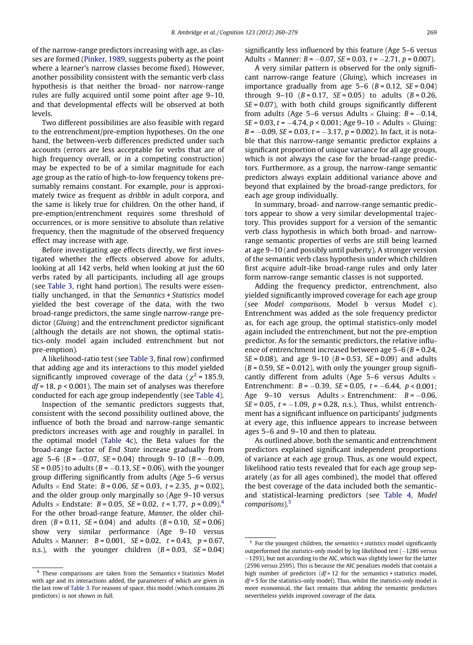of the narrow-range predictors increasing with age, as classes are formed ([Pinker, 1989,](#page-19-0) suggests puberty as the point where a learner's narrow classes become fixed). However, another possibility consistent with the semantic verb class hypothesis is that neither the broad- nor narrow-range rules are fully acquired until some point after age 9–10, and that developmental effects will be observed at both levels.

Two different possibilities are also feasible with regard to the entrenchment/pre-emption hypotheses. On the one hand, the between-verb differences predicted under such accounts (errors are less acceptable for verbs that are of high frequency overall, or in a competing construction) may be expected to be of a similar magnitude for each age group as the ratio of high-to-low frequency tokens presumably remains constant. For example, pour is approximately twice as frequent as dribble in adult corpora, and the same is likely true for children. On the other hand, if pre-emption/entrenchment requires some threshold of occurrences, or is more sensitive to absolute than relative frequency, then the magnitude of the observed frequency effect may increase with age.

Before investigating age effects directly, we first investigated whether the effects observed above for adults, looking at all 142 verbs, held when looking at just the 60 verbs rated by all participants, including all age groups (see [Table 3](#page-7-0), right hand portion). The results were essentially unchanged, in that the Semantics + Statistics model yielded the best coverage of the data, with the two broad-range predictors, the same single narrow-range predictor (Gluing) and the entrenchment predictor significant (although the details are not shown, the optimal statistics-only model again included entrenchment but not pre-emption).

A likelihood-ratio test (see [Table 3,](#page-7-0) final row) confirmed that adding age and its interactions to this model yielded significantly improved coverage of the data ( $\chi^2$  = 185.9,  $df = 18$ ,  $p < 0.001$ ). The main set of analyses was therefore conducted for each age group independently (see [Table 4](#page-10-0)).

Inspection of the semantic predictors suggests that, consistent with the second possibility outlined above, the influence of both the broad and narrow-range semantic predictors increases with age and roughly in parallel. In the optimal model ([Table 4c](#page-10-0)), the Beta values for the broad-range factor of End State increase gradually from age 5–6 ( $B = -0.07$ ,  $SE = 0.04$ ) through 9–10 ( $B = -0.09$ ,  $SE = 0.05$ ) to adults ( $B = -0.13$ ,  $SE = 0.06$ ), with the younger group differing significantly from adults (Age 5–6 versus Adults  $\times$  End State: *B* = 0.06, *SE* = 0.03, *t* = 2.35, *p* = 0.02), and the older group only marginally so (Age 9–10 versus Adults  $\times$  Endstate:  $B = 0.05$ ,  $SE = 0.02$ ,  $t = 1.77$ ,  $p = 0.09$ .<sup>4</sup> For the other broad-range feature, Manner, the older children  $(B = 0.11, SE = 0.04)$  and adults  $(B = 0.10, SE = 0.06)$ show very similar performance (Age 9–10 versus Adults  $\times$  Manner:  $B = 0.001$ ,  $SE = 0.02$ ,  $t = 0.43$ ,  $p = 0.67$ , n.s.), with the younger children  $(B = 0.03, SE = 0.04)$  significantly less influenced by this feature (Age 5–6 versus Adults  $\times$  Manner:  $B = -0.07$ ,  $SE = 0.03$ ,  $t = -2.71$ ,  $p = 0.007$ ).

A very similar pattern is observed for the only significant narrow-range feature (Gluing), which increases in importance gradually from age  $5-6$  ( $B = 0.12$ ,  $SE = 0.04$ ) through 9–10 ( $B = 0.17$ ,  $SE = 0.05$ ) to adults ( $B = 0.26$ ,  $SE = 0.07$ ), with both child groups significantly different from adults (Age 5–6 versus Adults  $\times$  Gluing:  $B = -0.14$ ,  $SE = 0.03$ ,  $t = -4.74$ ,  $p < 0.001$ ; Age 9-10  $\times$  Adults  $\times$  Gluing:  $B = -0.09$ ,  $SE = 0.03$ ,  $t = -3.17$ ,  $p = 0.002$ ). In fact, it is notable that this narrow-range semantic predictor explains a significant proportion of unique variance for all age groups, which is not always the case for the broad-range predictors. Furthermore, as a group, the narrow-range semantic predictors always explain additional variance above and beyond that explained by the broad-range predictors, for each age group individually.

In summary, broad- and narrow-range semantic predictors appear to show a very similar developmental trajectory. This provides support for a version of the semantic verb class hypothesis in which both broad- and narrowrange semantic properties of verbs are still being learned at age 9–10 (and possibly until puberty). A stronger version of the semantic verb class hypothesis under which children first acquire adult-like broad-range rules and only later form narrow-range semantic classes is not supported.

Adding the frequency predictor, entrenchment, also yielded significantly improved coverage for each age group (see Model comparisons, Model b versus Model c). Entrenchment was added as the sole frequency predictor as, for each age group, the optimal statistics-only model again included the entrenchment, but not the pre-emption predictor. As for the semantic predictors, the relative influence of entrenchment increased between age  $5-6$  ( $B = 0.24$ ,  $SE = 0.08$ ), and age 9–10 ( $B = 0.53$ ,  $SE = 0.09$ ) and adults  $(B = 0.59, SE = 0.012)$ , with only the younger group significantly different from adults (Age 5-6 versus Adults  $\times$ Entrenchment:  $B = -0.39$ ,  $SE = 0.05$ ,  $t = -6.44$ ,  $p < 0.001$ ; Age 9–10 versus Adults  $\times$  Entrenchment:  $B = -0.06$ ,  $SE = 0.05$ ,  $t = -1.09$ ,  $p = 0.28$ , n.s.). Thus, whilst entrenchment has a significant influence on participants' judgments at every age, this influence appears to increase between ages 5–6 and 9–10 and then to plateau.

As outlined above, both the semantic and entrenchment predictors explained significant independent proportions of variance at each age group. Thus, as one would expect, likelihood ratio tests revealed that for each age group separately (as for all ages combined), the model that offered the best coverage of the data included both the semanticand statistical-learning predictors (see [Table 4](#page-10-0), Model comparisons).<sup>5</sup>

<sup>4</sup> These comparisons are taken from the Semantics + Statistics Model with age and its interactions added, the parameters of which are given in the last row of [Table 3.](#page-7-0) For reasons of space, this model (which contains 26 predictors) is not shown in full.

 $5$  For the youngest children, the semantics + statistics model significantly outperformed the statistics-only model by log likelihood test  $(-1286$  versus  $-1293$ ), but not according to the AIC, which was slightly lower for the latter (2596 versus 2595). This is because the AIC penalizes models that contain a high number of predictors  $(df = 12$  for the semantics + statistics model,  $df = 5$  for the statistics-only model). Thus, whilst the statistics-only model is more economical, the fact remains that adding the semantic predictors nevertheless yields improved coverage of the data.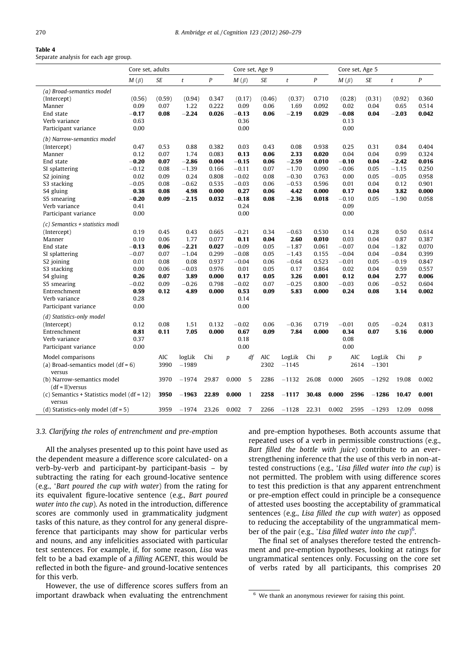# <span id="page-10-0"></span>Table 4

Separate analysis for each age group.

|                                                                  |            | Core set, adults |                |                  |                  |              | Core set, Age 9 |         |                  |                  |            | Core set, Age 5 |                  |       |  |  |
|------------------------------------------------------------------|------------|------------------|----------------|------------------|------------------|--------------|-----------------|---------|------------------|------------------|------------|-----------------|------------------|-------|--|--|
|                                                                  | $M(\beta)$ | <b>SE</b>        | $\mathfrak{r}$ | $\boldsymbol{P}$ | $M(\beta)$       |              | SE              | t       | $\boldsymbol{P}$ | $M(\beta)$       |            | SE              | $\boldsymbol{t}$ | P     |  |  |
| (a) Broad-semantics model                                        |            |                  |                |                  |                  |              |                 |         |                  |                  |            |                 |                  |       |  |  |
| (Intercept)                                                      | (0.56)     | (0.59)           | (0.94)         | 0.347            | (0.17)           |              | (0.46)          | (0.37)  | 0.710            |                  | (0.28)     | (0.31)          | (0.92)           | 0.360 |  |  |
| Manner                                                           | 0.09       | 0.07             | 1.22           | 0.222            | 0.09             |              | 0.06            | 1.69    | 0.092            |                  | 0.02       | 0.04            | 0.65             | 0.514 |  |  |
| End state                                                        | $-0.17$    | 0.08             | $-2.24$        | 0.026            | $-0.13$          |              | 0.06            | $-2.19$ | 0.029            |                  | $-0.08$    | 0.04            | $-2.03$          | 0.042 |  |  |
| Verb variance                                                    | 0.63       |                  |                |                  | 0.36             |              |                 |         |                  |                  | 0.13       |                 |                  |       |  |  |
| Participant variance                                             | 0.00       |                  |                |                  | 0.00             |              |                 |         |                  |                  | 0.00       |                 |                  |       |  |  |
| (b) Narrow-semantics model                                       |            |                  |                |                  |                  |              |                 |         |                  |                  |            |                 |                  |       |  |  |
| (Intercept)                                                      | 0.47       | 0.53             | 0.88           | 0.382            | 0.03             |              | 0.43            | 0.08    | 0.938            |                  | 0.25       | 0.31            | 0.84             | 0.404 |  |  |
| Manner                                                           | 0.12       | 0.07             | 1.74           | 0.083            | 0.13             |              | 0.06            | 2.33    | 0.020            |                  | 0.04       | 0.04            | 0.99             | 0.324 |  |  |
| End state                                                        | $-0.20$    | 0.07             | $-2.86$        | 0.004            | $-0.15$          |              | 0.06            | $-2.59$ | 0.010            |                  | $-0.10$    | 0.04            | $-2.42$          | 0.016 |  |  |
| SI splattering                                                   | $-0.12$    | 0.08             | $-1.39$        | 0.166            | $-0.11$          |              | 0.07            | $-1.70$ | 0.090            |                  | $-0.06$    | 0.05            | $-1.15$          | 0.250 |  |  |
| S <sub>2</sub> joining                                           | 0.02       | 0.09             | 0.24           | 0.808            | $-0.02$          |              | 0.08            | $-0.30$ | 0.763            |                  | 0.00       | 0.05            | $-0.05$          | 0.958 |  |  |
| S3 stacking                                                      | $-0.05$    | 0.08             | $-0.62$        | 0.535            | $-0.03$          |              | 0.06            | $-0.53$ | 0.596            |                  | 0.01       | 0.04            | 0.12             | 0.901 |  |  |
| S4 gluing                                                        | 0.38       | 0.08             | 4.98           | 0.000            | 0.27             |              | 0.06            | 4.42    | 0.000            |                  | 0.17       | 0.04            | 3.82             | 0.000 |  |  |
| S5 smearing                                                      | $-0.20$    | 0.09             | $-2.15$        | 0.032            | $-0.18$          |              | 0.08            | $-2.36$ | 0.018            |                  | $-0.10$    | 0.05            | $-1.90$          | 0.058 |  |  |
| Verb variance                                                    | 0.41       |                  |                |                  | 0.24             |              |                 |         |                  |                  | 0.09       |                 |                  |       |  |  |
| Participant variance                                             | 0.00       |                  |                |                  | 0.00             |              |                 |         |                  |                  | 0.00       |                 |                  |       |  |  |
| (c) Semantics + statistics modi                                  |            |                  |                |                  |                  |              |                 |         |                  |                  |            |                 |                  |       |  |  |
| (Intercept)                                                      | 0.19       | 0.45             | 0.43           | 0.665            | $-0.21$          |              | 0.34            | $-0.63$ | 0.530            |                  | 0.14       | 0.28            | 0.50             | 0.614 |  |  |
| Manner                                                           | 0.10       | 0.06             | 1.77           | 0.077            | 0.11             |              | 0.04            | 2.60    | 0.010            |                  | 0.03       | 0.04            | 0.87             | 0.387 |  |  |
| End state                                                        | $-0.13$    | 0.06             | $-2.21$        | 0.027            | $-0.09$          |              | 0.05            | $-1.87$ | 0.061            |                  | $-0.07$    | 0.04            | $-1.82$          | 0.070 |  |  |
| SI splattering                                                   | $-0.07$    | 0.07             | $-1.04$        | 0.299            | $-0.08$          |              | 0.05            | $-1.43$ | 0.155            | $-0.04$          |            | 0.04            | $-0.84$          | 0.399 |  |  |
| S <sub>2</sub> joining                                           | 0.01       | 0.08             | 0.08           | 0.937            | $-0.04$          |              | 0.06            | $-0.64$ | 0.523            | $-0.01$          |            | 0.05            | $-0.19$          | 0.847 |  |  |
| S3 stacking                                                      | 0.00       | 0.06             | $-0.03$        | 0.976            | 0.01             |              | 0.05            | 0.17    | 0.864            |                  | 0.02       | 0.04            | 0.59             | 0.557 |  |  |
| S4 gluing                                                        | 0.26       | 0.07             | 3.89           | 0.000            | 0.17             |              | 0.05            | 3.26    | 0.001            |                  | 0.12       | 0.04            | 2.77             | 0.006 |  |  |
| S5 smearing                                                      | $-0.02$    | 0.09             | $-0.26$        | 0.798            | $-0.02$          |              | 0.07            | $-0.25$ | 0.800            |                  | $-0.03$    | 0.06            | $-0.52$          | 0.604 |  |  |
| Entrenchment                                                     | 0.59       | 0.12             | 4.89           | 0.000            | 0.53             |              | 0.09            | 5.83    | 0.000            |                  | 0.24       | 0.08            | 3.14             | 0.002 |  |  |
| Verb variance                                                    | 0.28       |                  |                |                  | 0.14             |              |                 |         |                  |                  |            |                 |                  |       |  |  |
| Participant variance                                             | 0.00       |                  |                |                  | 0.00             |              |                 |         |                  |                  |            |                 |                  |       |  |  |
| (d) Statistics-only model                                        |            |                  |                |                  |                  |              |                 |         |                  |                  |            |                 |                  |       |  |  |
| (Intercept)                                                      | 0.12       | 0.08             | 1.51           | 0.132            | $-0.02$          |              | 0.06            | $-0.36$ | 0.719            |                  | $-0.01$    | 0.05            | $-0.24$          | 0.813 |  |  |
| Entrenchment                                                     | 0.81       | 0.11             | 7.05           | 0.000            | 0.67             |              | 0.09            | 7.84    | 0.000            |                  | 0.34       | 0.07            | 5.16             | 0.000 |  |  |
| Verb variance                                                    | 0.37       |                  |                |                  | 0.18             |              |                 |         |                  |                  | 0.08       |                 |                  |       |  |  |
| Participant variance                                             | 0.00       |                  |                |                  | 0.00             |              |                 |         |                  |                  | 0.00       |                 |                  |       |  |  |
| Model comparisons                                                |            | <b>AIC</b>       | logLik         | Chi              | $\boldsymbol{p}$ | df           | <b>AIC</b>      | LogLik  | Chi              | $\boldsymbol{p}$ | <b>AIC</b> | LogLik          | Chi              | p     |  |  |
| (a) Broad-semantics model $(df = 6)$                             |            | 3990             | $-1989$        |                  |                  |              | 2302            | $-1145$ |                  |                  | 2614       | $-1301$         |                  |       |  |  |
| versus                                                           |            |                  |                |                  |                  |              |                 |         |                  |                  |            |                 |                  |       |  |  |
| (b) Narrow-semantics model                                       |            | 3970             | $-1974$        | 29.87            | 0.000            | 5            | 2286            | $-1132$ | 26.08            | 0.000            | 2605       | $-1292$         | 19.08            | 0.002 |  |  |
| (df = ll)versus<br>(c) Semantics + Statistics model (df = $12$ ) |            | 3950             | $-1963$        | 22.89            | 0.000            | $\mathbf{1}$ | 2258            | $-1117$ | 30.48            | 0.000            | 2596       | $-1286$         | 10.47            | 0.001 |  |  |
| versus                                                           |            |                  |                |                  |                  |              |                 |         |                  |                  |            |                 |                  |       |  |  |
| (d) Statistics-only model $(df = 5)$                             |            | 3959             | $-1974$        | 23.26            | 0.002            | 7            | 2266            | $-1128$ | 22.31            | 0.002            | 2595       | $-1293$         | 12.09            | 0.098 |  |  |

### 3.3. Clarifying the roles of entrenchment and pre-emption

All the analyses presented up to this point have used as the dependent measure a difference score calculated- on a verb-by-verb and participant-by participant-basis – by subtracting the rating for each ground-locative sentence (e.g., \*Bart poured the cup with water) from the rating for its equivalent figure-locative sentence (e.g., Bart poured water into the cup). As noted in the introduction, difference scores are commonly used in grammaticality judgment tasks of this nature, as they control for any general dispreference that participants may show for particular verbs and nouns, and any infelicities associated with particular test sentences. For example, if, for some reason, Lisa was felt to be a bad example of a filling AGENT, this would be reflected in both the figure- and ground-locative sentences for this verb.

However, the use of difference scores suffers from an important drawback when evaluating the entrenchment

and pre-emption hypotheses. Both accounts assume that repeated uses of a verb in permissible constructions (e.g., Bart filled the bottle with juice) contribute to an everstrengthening inference that the use of this verb in non-attested constructions (e.g., \*Lisa filled water into the cup) is not permitted. The problem with using difference scores to test this prediction is that any apparent entrenchment or pre-emption effect could in principle be a consequence of attested uses boosting the acceptability of grammatical sentences (e.g., Lisa filled the cup with water) as opposed to reducing the acceptability of the ungrammatical member of the pair (e.g., \*Lisa filled water into the cup) $6$ .

The final set of analyses therefore tested the entrenchment and pre-emption hypotheses, looking at ratings for ungrammatical sentences only. Focussing on the core set of verbs rated by all participants, this comprises 20

 $6\,$  We thank an anonymous reviewer for raising this point.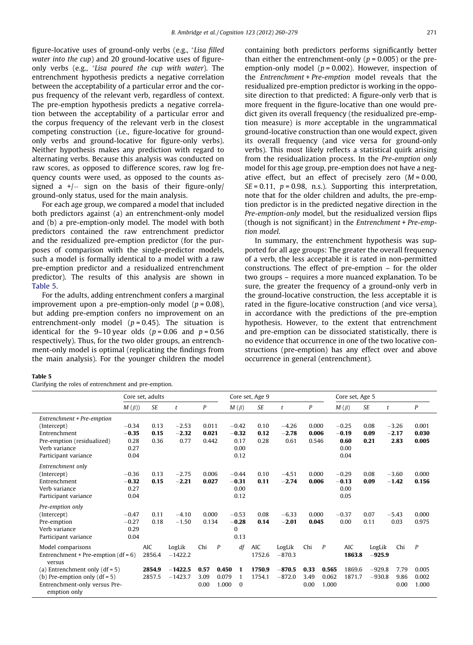figure-locative uses of ground-only verbs (e.g., *\*Lisa filled* water into the cup) and 20 ground-locative uses of figureonly verbs (e.g., \*Lisa poured the cup with water). The entrenchment hypothesis predicts a negative correlation between the acceptability of a particular error and the corpus frequency of the relevant verb, regardless of context. The pre-emption hypothesis predicts a negative correlation between the acceptability of a particular error and the corpus frequency of the relevant verb in the closest competing construction (i.e., figure-locative for groundonly verbs and ground-locative for figure-only verbs). Neither hypothesis makes any prediction with regard to alternating verbs. Because this analysis was conducted on raw scores, as opposed to difference scores, raw log frequency counts were used, as opposed to the counts assigned a  $+/-$  sign on the basis of their figure-only/ ground-only status, used for the main analysis.

For each age group, we compared a model that included both predictors against (a) an entrenchment-only model and (b) a pre-emption-only model. The model with both predictors contained the raw entrenchment predictor and the residualized pre-emption predictor (for the purposes of comparison with the single-predictor models, such a model is formally identical to a model with a raw pre-emption predictor and a residualized entrenchment predictor). The results of this analysis are shown in Table 5.

For the adults, adding entrenchment confers a marginal improvement upon a pre-emption-only model ( $p = 0.08$ ), but adding pre-emption confers no improvement on an entrenchment-only model ( $p = 0.45$ ). The situation is identical for the 9–10 year olds ( $p = 0.06$  and  $p = 0.56$ respectively). Thus, for the two older groups, an entrenchment-only model is optimal (replicating the findings from the main analysis). For the younger children the model containing both predictors performs significantly better than either the entrenchment-only ( $p = 0.005$ ) or the preemption-only model ( $p = 0.002$ ). However, inspection of the Entrenchment + Pre-emption model reveals that the residualized pre-emption predictor is working in the opposite direction to that predicted: A figure-only verb that is more frequent in the figure-locative than one would predict given its overall frequency (the residualized pre-emption measure) is more acceptable in the ungrammatical ground-locative construction than one would expect, given its overall frequency (and vice versa for ground-only verbs). This most likely reflects a statistical quirk arising from the residualization process. In the Pre-emption only model for this age group, pre-emption does not have a negative effect, but an effect of precisely zero  $(M = 0.00,$  $SE = 0.11$ ,  $p = 0.98$ , n.s.). Supporting this interpretation, note that for the older children and adults, the pre-emption predictor is in the predicted negative direction in the Pre-emption-only model, but the residualized version flips (though is not significant) in the Entrenchment + Pre-emption model.

In summary, the entrenchment hypothesis was supported for all age groups: The greater the overall frequency of a verb, the less acceptable it is rated in non-permitted constructions. The effect of pre-emption – for the older two groups – requires a more nuanced explanation. To be sure, the greater the frequency of a ground-only verb in the ground-locative construction, the less acceptable it is rated in the figure-locative construction (and vice versa), in accordance with the predictions of the pre-emption hypothesis. However, to the extent that entrenchment and pre-emption can be dissociated statistically, there is no evidence that occurrence in one of the two locative constructions (pre-emption) has any effect over and above occurrence in general (entrenchment).

#### Table 5

Clarifying the roles of entrenchment and pre-emption.

|                                                                                                                                  | Core set, adults                           |                      |                            |                         |                         | Core set, Age 9                            |                      |                            |                         |                         | Core set, Age 5                            |                      |                            |                         |
|----------------------------------------------------------------------------------------------------------------------------------|--------------------------------------------|----------------------|----------------------------|-------------------------|-------------------------|--------------------------------------------|----------------------|----------------------------|-------------------------|-------------------------|--------------------------------------------|----------------------|----------------------------|-------------------------|
|                                                                                                                                  | $M(\beta)$                                 | <b>SE</b>            | t                          | P                       |                         | $M(\beta)$                                 | <b>SE</b>            | t                          | P                       |                         | $M(\beta)$                                 | <b>SE</b>            | $\mathbf{r}$               | P                       |
| Entrenchment + Pre-emption<br>(Intercept)<br>Entrenchment<br>Pre-emption (residualized)<br>Verb variance<br>Participant variance | $-0.34$<br>$-0.35$<br>0.28<br>0.27<br>0.04 | 0.13<br>0.15<br>0.36 | $-2.53$<br>$-2.32$<br>0.77 | 0.011<br>0.021<br>0.442 |                         | $-0.42$<br>$-0.32$<br>0.17<br>0.00<br>0.12 | 0.10<br>0.12<br>0.28 | $-4.26$<br>$-2.78$<br>0.61 | 0.000<br>0.006<br>0.546 |                         | $-0.25$<br>$-0.19$<br>0.60<br>0.00<br>0.04 | 0.08<br>0.09<br>0.21 | $-3.26$<br>$-2.17$<br>2.83 | 0.001<br>0.030<br>0.005 |
| Entrenchment only<br>(Intercept)<br>Entrenchment<br>Verb variance<br>Participant variance                                        | $-0.36$<br>$-0.32$<br>0.27<br>0.04         | 0.13<br>0.15         | $-2.75$<br>$-2.21$         | 0.006<br>0.027          |                         | $-0.44$<br>$-0.31$<br>0.00<br>0.12         | 0.10<br>0.11         | $-4.51$<br>$-2.74$         | 0.000<br>0.006          |                         | $-0.29$<br>$-0.13$<br>0.00<br>0.05         | 0.08<br>0.09         | $-3.60$<br>$-1.42$         | 0.000<br>0.156          |
| Pre-emption only<br>(Intercept)<br>Pre-emption<br>Verb variance<br>Participant variance                                          | $-0.47$<br>$-0.27$<br>0.29<br>0.04         | 0.11<br>0.18         | $-4.10$<br>$-1.50$         | 0.000<br>0.134          |                         | $-0.53$<br>$-0.28$<br>$\Omega$<br>0.13     | 0.08<br>0.14         | $-6.33$<br>$-2.01$         | 0.000<br>0.045          |                         | $-0.37$<br>0.00                            | 0.07<br>0.11         | $-5.43$<br>0.03            | 0.000<br>0.975          |
| Model comparisons<br>Entrenchment + Pre-emption $(df = 6)$<br>versus                                                             |                                            | <b>AIC</b><br>2856.4 | LogLik<br>$-1422.2$        | Chi                     | $\boldsymbol{P}$        | df                                         | <b>AIC</b><br>1752.6 | LogLik<br>$-870.3$         | Chi                     | P                       | <b>AIC</b><br>1863.8                       | LogLik<br>$-925.9$   | Chi                        | $\boldsymbol{P}$        |
| (a) Entrenchment only $(df = 5)$<br>(b) Pre-emption only $(df = 5)$<br>Entrenchment-only versus Pre-<br>emption only             |                                            | 2854.9<br>2857.5     | $-1422.5$<br>$-1423.7$     | 0.57<br>3.09<br>0.00    | 0.450<br>0.079<br>1.000 | $\mathbf{1}$<br>1<br>$\bf{0}$              | 1750.9<br>1754.1     | $-870.5$<br>$-872.0$       | 0.33<br>3.49<br>0.00    | 0.565<br>0.062<br>1.000 | 1869.6<br>1871.7                           | $-929.8$<br>$-930.8$ | 7.79<br>9.86<br>0.00       | 0.005<br>0.002<br>1.000 |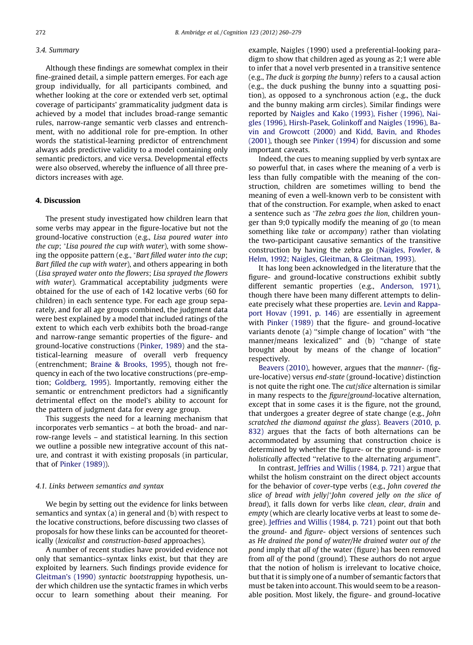# 3.4. Summary

Although these findings are somewhat complex in their fine-grained detail, a simple pattern emerges. For each age group individually, for all participants combined, and whether looking at the core or extended verb set, optimal coverage of participants' grammaticality judgment data is achieved by a model that includes broad-range semantic rules, narrow-range semantic verb classes and entrenchment, with no additional role for pre-emption. In other words the statistical-learning predictor of entrenchment always adds predictive validity to a model containing only semantic predictors, and vice versa. Developmental effects were also observed, whereby the influence of all three predictors increases with age.

# 4. Discussion

The present study investigated how children learn that some verbs may appear in the figure-locative but not the ground-locative construction (e.g., Lisa poured water into the cup; \*Lisa poured the cup with water), with some showing the opposite pattern (e.g., \*Bart filled water into the cup; Bart filled the cup with water), and others appearing in both (Lisa sprayed water onto the flowers; Lisa sprayed the flowers with water). Grammatical acceptability judgments were obtained for the use of each of 142 locative verbs (60 for children) in each sentence type. For each age group separately, and for all age groups combined, the judgment data were best explained by a model that included ratings of the extent to which each verb exhibits both the broad-range and narrow-range semantic properties of the figure- and ground-locative constructions [\(Pinker, 1989](#page-19-0)) and the statistical-learning measure of overall verb frequency (entrenchment; [Braine & Brooks, 1995\)](#page-18-0), though not frequency in each of the two locative constructions (pre-emption; [Goldberg, 1995\)](#page-18-0). Importantly, removing either the semantic or entrenchment predictors had a significantly detrimental effect on the model's ability to account for the pattern of judgment data for every age group.

This suggests the need for a learning mechanism that incorporates verb semantics – at both the broad- and narrow-range levels – and statistical learning. In this section we outline a possible new integrative account of this nature, and contrast it with existing proposals (in particular, that of [Pinker \(1989\)\)](#page-19-0).

# 4.1. Links between semantics and syntax

We begin by setting out the evidence for links between semantics and syntax (a) in general and (b) with respect to the locative constructions, before discussing two classes of proposals for how these links can be accounted for theoretically (lexicalist and construction-based approaches).

A number of recent studies have provided evidence not only that semantics–syntax links exist, but that they are exploited by learners. Such findings provide evidence for [Gleitman's \(1990\)](#page-18-0) syntactic bootstrapping hypothesis, under which children use the syntactic frames in which verbs occur to learn something about their meaning. For

example, Naigles (1990) used a preferential-looking paradigm to show that children aged as young as 2;1 were able to infer that a novel verb presented in a transitive sentence (e.g., The duck is gorping the bunny) refers to a causal action (e.g., the duck pushing the bunny into a squatting position), as opposed to a synchronous action (e.g., the duck and the bunny making arm circles). Similar findings were reported by [Naigles and Kako \(1993\), Fisher \(1996\), Nai](#page-19-0)[gles \(1996\)](#page-19-0), [Hirsh-Pasek, Golinkoff and Naigles \(1996\), Ba](#page-18-0)[vin and Growcott \(2000\)](#page-18-0) and [Kidd, Bavin, and Rhodes](#page-18-0) [\(2001\)](#page-18-0), though see [Pinker \(1994\)](#page-19-0) for discussion and some important caveats.

Indeed, the cues to meaning supplied by verb syntax are so powerful that, in cases where the meaning of a verb is less than fully compatible with the meaning of the construction, children are sometimes willing to bend the meaning of even a well-known verb to be consistent with that of the construction. For example, when asked to enact a sentence such as \*The zebra goes the lion, children younger than 9;0 typically modify the meaning of go (to mean something like take or accompany) rather than violating the two-participant causative semantics of the transitive construction by having the zebra go ([Naigles, Fowler, &](#page-19-0) [Helm, 1992; Naigles, Gleitman, & Gleitman, 1993\)](#page-19-0).

It has long been acknowledged in the literature that the figure- and ground-locative constructions exhibit subtly different semantic properties (e.g., [Anderson, 1971\)](#page-18-0), though there have been many different attempts to delineate precisely what these properties are. [Levin and Rappa](#page-19-0)[port Hovav \(1991, p. 146\)](#page-19-0) are essentially in agreement with [Pinker \(1989\)](#page-19-0) that the figure- and ground-locative variants denote (a) ''simple change of location'' with ''the manner/means lexicalized'' and (b) ''change of state brought about by means of the change of location'' respectively.

[Beavers \(2010\),](#page-18-0) however, argues that the manner- (figure-locative) versus end-state (ground-locative) distinction is not quite the right one. The cut/slice alternation is similar in many respects to the figure/ground-locative alternation, except that in some cases it is the figure, not the ground, that undergoes a greater degree of state change (e.g., John scratched the diamond against the glass). [Beavers \(2010, p.](#page-18-0) [832\)](#page-18-0) argues that the facts of both alternations can be accommodated by assuming that construction choice is determined by whether the figure- or the ground- is more holistically affected ''relative to the alternating argument''.

In contrast, [Jeffries and Willis \(1984, p. 721\)](#page-18-0) argue that whilst the holism constraint on the direct object accounts for the behavior of cover-type verbs (e.g., John covered the slice of bread with jelly/\*John covered jelly on the slice of bread), it falls down for verbs like clean, clear, drain and empty (which are clearly locative verbs at least to some degree). [Jeffries and Willis \(1984, p. 721\)](#page-18-0) point out that both the ground- and figure- object versions of sentences such as He drained the pond of water/He drained water out of the pond imply that all of the water (figure) has been removed from all of the pond (ground). These authors do not argue that the notion of holism is irrelevant to locative choice, but that it is simply one of a number of semantic factors that must be taken into account. This would seem to be a reasonable position. Most likely, the figure- and ground-locative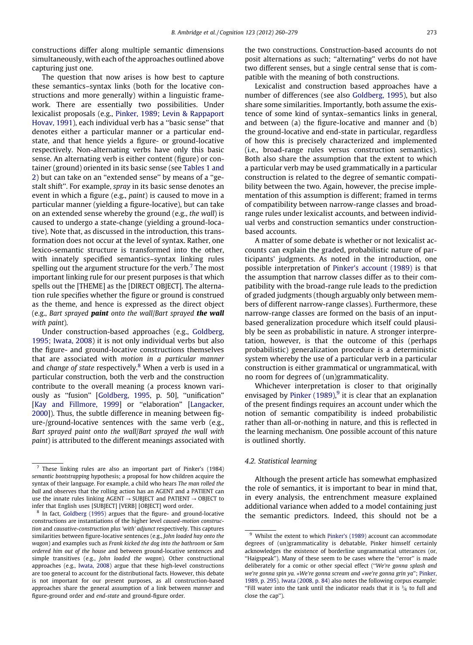constructions differ along multiple semantic dimensions simultaneously, with each of the approaches outlined above capturing just one.

The question that now arises is how best to capture these semantics–syntax links (both for the locative constructions and more generally) within a linguistic framework. There are essentially two possibilities. Under lexicalist proposals (e.g., [Pinker, 1989; Levin & Rappaport](#page-19-0) [Hovav, 1991\)](#page-19-0), each individual verb has a ''basic sense'' that denotes either a particular manner or a particular endstate, and that hence yields a figure- or ground-locative respectively. Non-alternating verbs have only this basic sense. An alternating verb is either content (figure) or container (ground) oriented in its basic sense (see [Tables 1 and](#page-2-0) [2\)](#page-2-0) but can take on an ''extended sense'' by means of a ''gestalt shift''. For example, spray in its basic sense denotes an event in which a figure (e.g., paint) is caused to move in a particular manner (yielding a figure-locative), but can take on an extended sense whereby the ground (e.g., the wall) is caused to undergo a state-change (yielding a ground-locative). Note that, as discussed in the introduction, this transformation does not occur at the level of syntax. Rather, one lexico-semantic structure is transformed into the other, with innately specified semantics–syntax linking rules spelling out the argument structure for the verb.<sup>7</sup> The most important linking rule for our present purposes is that which spells out the [THEME] as the [DIRECT OBJECT]. The alternation rule specifies whether the figure or ground is construed as the theme, and hence is expressed as the direct object (e.g., Bart sprayed **paint** onto the wall/Bart sprayed **the wall** with paint).

Under construction-based approaches (e.g., [Goldberg,](#page-18-0) [1995; Iwata, 2008](#page-18-0)) it is not only individual verbs but also the figure- and ground-locative constructions themselves that are associated with motion in a particular manner and *change of state* respectively. $8$  When a verb is used in a particular construction, both the verb and the construction contribute to the overall meaning (a process known variously as ''fusion'' [\[Goldberg, 1995,](#page-18-0) p. 50], ''unification'' [[Kay and Fillmore, 1999](#page-18-0)] or ''elaboration'' [\[Langacker,](#page-18-0) [2000](#page-18-0)]). Thus, the subtle difference in meaning between figure-/ground-locative sentences with the same verb (e.g., Bart sprayed paint onto the wall/Bart sprayed the wall with paint) is attributed to the different meanings associated with the two constructions. Construction-based accounts do not posit alternations as such; ''alternating'' verbs do not have two different senses, but a single central sense that is compatible with the meaning of both constructions.

Lexicalist and construction based approaches have a number of differences (see also [Goldberg, 1995](#page-18-0)), but also share some similarities. Importantly, both assume the existence of some kind of syntax–semantics links in general, and between (a) the figure-locative and manner and (b) the ground-locative and end-state in particular, regardless of how this is precisely characterized and implemented (i.e., broad-range rules versus construction semantics). Both also share the assumption that the extent to which a particular verb may be used grammatically in a particular construction is related to the degree of semantic compatibility between the two. Again, however, the precise implementation of this assumption is different; framed in terms of compatibility between narrow-range classes and broadrange rules under lexicalist accounts, and between individual verbs and construction semantics under constructionbased accounts.

A matter of some debate is whether or not lexicalist accounts can explain the graded, probabilistic nature of participants' judgments. As noted in the introduction, one possible interpretation of [Pinker's account \(1989\)](#page-19-0) is that the assumption that narrow classes differ as to their compatibility with the broad-range rule leads to the prediction of graded judgments (though arguably only between members of different narrow-range classes). Furthermore, these narrow-range classes are formed on the basis of an inputbased generalization procedure which itself could plausibly be seen as probabilistic in nature. A stronger interpretation, however, is that the outcome of this (perhaps probabilistic) generalization procedure is a deterministic system whereby the use of a particular verb in a particular construction is either grammatical or ungrammatical, with no room for degrees of (un)grammaticality.

Whichever interpretation is closer to that originally envisaged by [Pinker \(1989\),](#page-19-0)<sup>9</sup> it is clear that an explanation of the present findings requires an account under which the notion of semantic compatibility is indeed probabilistic rather than all-or-nothing in nature, and this is reflected in the learning mechanism. One possible account of this nature is outlined shortly.

## 4.2. Statistical learning

Although the present article has somewhat emphasized the role of semantics, it is important to bear in mind that, in every analysis, the entrenchment measure explained additional variance when added to a model containing just the semantic predictors. Indeed, this should not be a

<sup>7</sup> These linking rules are also an important part of Pinker's (1984) semantic bootstrapping hypothesis; a proposal for how children acquire the syntax of their language. For example, a child who hears The man rolled the ball and observes that the rolling action has an AGENT and a PATIENT can use the innate rules linking AGENT  $\rightarrow$  SUBJECT and PATIENT  $\rightarrow$  OBJECT to infer that English uses [SUBJECT] [VERB] [OBJECT] word order.

<sup>8</sup> In fact, [Goldberg \(1995\)](#page-18-0) argues that the figure- and ground-locative constructions are instantiations of the higher level caused-motion construction and causative-construction plus 'with' adjunct respectively. This captures similarities between figure-locative sentences (e.g., John loaded hay onto the wagon) and examples such as Frank kicked the dog into the bathroom or Sam ordered him out of the house and between ground-locative sentences and simple transitives (e.g., John loaded the wagon). Other constructional approaches (e.g., [Iwata, 2008](#page-18-0)) argue that these high-level constructions are too general to account for the distributional facts. However, this debate is not important for our present purposes, as all construction-based approaches share the general assumption of a link between manner and figure-ground order and end-state and ground-figure order.

<sup>&</sup>lt;sup>9</sup> Whilst the extent to which [Pinker's \(1989\)](#page-19-0) account can accommodate degrees of (un)grammaticality is debatable, Pinker himself certainly acknowledges the existence of borderline ungrammatical utterances (or, ''Haigspeak''). Many of these seem to be cases where the ''error'' is made deliberately for a comic or other special effect (''We're gonna splash and we're gonna spin ya. \*We're gonna scream and \*we're gonna grin ya"; [Pinker,](#page-19-0) [1989, p. 295](#page-19-0)). [Iwata \(2008, p. 84\)](#page-18-0) also notes the following corpus example: "Fill water into the tank until the indicator reads that it is  $\frac{3}{4}$  to full and close the cap'').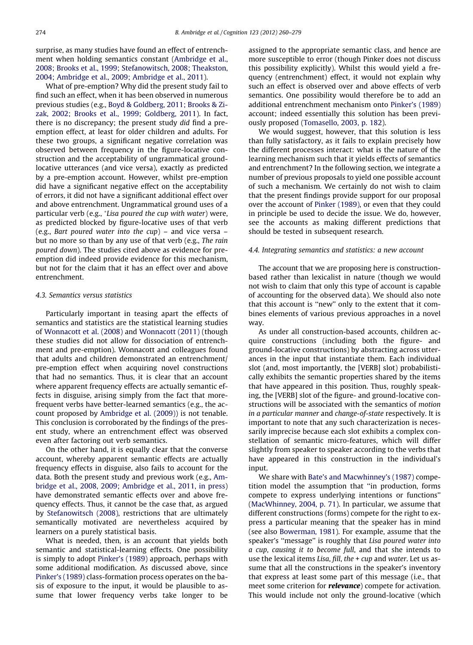surprise, as many studies have found an effect of entrenchment when holding semantics constant ([Ambridge et al.,](#page-18-0) [2008; Brooks et al., 1999; Stefanowitsch, 2008; Theakston,](#page-18-0) [2004; Ambridge et al., 2009; Ambridge et al., 2011\)](#page-18-0).

What of pre-emption? Why did the present study fail to find such an effect, when it has been observed in numerous previous studies (e.g., [Boyd & Goldberg, 2011; Brooks & Zi](#page-18-0)[zak, 2002; Brooks et al., 1999; Goldberg, 2011](#page-18-0)). In fact, there is no discrepancy; the present study did find a preemption effect, at least for older children and adults. For these two groups, a significant negative correlation was observed between frequency in the figure-locative construction and the acceptability of ungrammatical groundlocative utterances (and vice versa), exactly as predicted by a pre-emption account. However, whilst pre-emption did have a significant negative effect on the acceptability of errors, it did not have a significant additional effect over and above entrenchment. Ungrammatical ground uses of a particular verb (e.g., \*Lisa poured the cup with water) were, as predicted blocked by figure-locative uses of that verb (e.g., Bart poured water into the cup) – and vice versa – but no more so than by any use of that verb (e.g., The rain poured down). The studies cited above as evidence for preemption did indeed provide evidence for this mechanism, but not for the claim that it has an effect over and above entrenchment.

# 4.3. Semantics versus statistics

Particularly important in teasing apart the effects of semantics and statistics are the statistical learning studies of [Wonnacott et al. \(2008\)](#page-19-0) and [Wonnacott \(2011\)](#page-19-0) (though these studies did not allow for dissociation of entrenchment and pre-emption). Wonnacott and colleagues found that adults and children demonstrated an entrenchment/ pre-emption effect when acquiring novel constructions that had no semantics. Thus, it is clear that an account where apparent frequency effects are actually semantic effects in disguise, arising simply from the fact that morefrequent verbs have better-learned semantics (e.g., the account proposed by [Ambridge et al. \(2009\)](#page-18-0)) is not tenable. This conclusion is corroborated by the findings of the present study, where an entrenchment effect was observed even after factoring out verb semantics.

On the other hand, it is equally clear that the converse account, whereby apparent semantic effects are actually frequency effects in disguise, also fails to account for the data. Both the present study and previous work (e.g., [Am](#page-18-0)[bridge et al., 2008, 2009; Ambridge et al., 2011, in press](#page-18-0)) have demonstrated semantic effects over and above frequency effects. Thus, it cannot be the case that, as argued by [Stefanowitsch \(2008\)](#page-19-0), restrictions that are ultimately semantically motivated are nevertheless acquired by learners on a purely statistical basis.

What is needed, then, is an account that yields both semantic and statistical-learning effects. One possibility is simply to adopt [Pinker's \(1989\)](#page-19-0) approach, perhaps with some additional modification. As discussed above, since [Pinker's \(1989\)](#page-19-0) class-formation process operates on the basis of exposure to the input, it would be plausible to assume that lower frequency verbs take longer to be assigned to the appropriate semantic class, and hence are more susceptible to error (though Pinker does not discuss this possibility explicitly). Whilst this would yield a frequency (entrenchment) effect, it would not explain why such an effect is observed over and above effects of verb semantics. One possibility would therefore be to add an additional entrenchment mechanism onto [Pinker's \(1989\)](#page-19-0) account; indeed essentially this solution has been previously proposed ([Tomasello, 2003, p. 182\)](#page-19-0).

We would suggest, however, that this solution is less than fully satisfactory, as it fails to explain precisely how the different processes interact: what is the nature of the learning mechanism such that it yields effects of semantics and entrenchment? In the following section, we integrate a number of previous proposals to yield one possible account of such a mechanism. We certainly do not wish to claim that the present findings provide support for our proposal over the account of [Pinker \(1989\)](#page-19-0), or even that they could in principle be used to decide the issue. We do, however, see the accounts as making different predictions that should be tested in subsequent research.

# 4.4. Integrating semantics and statistics: a new account

The account that we are proposing here is constructionbased rather than lexicalist in nature (though we would not wish to claim that only this type of account is capable of accounting for the observed data). We should also note that this account is ''new'' only to the extent that it combines elements of various previous approaches in a novel way.

As under all construction-based accounts, children acquire constructions (including both the figure- and ground-locative constructions) by abstracting across utterances in the input that instantiate them. Each individual slot (and, most importantly, the [VERB] slot) probabilistically exhibits the semantic properties shared by the items that have appeared in this position. Thus, roughly speaking, the [VERB] slot of the figure- and ground-locative constructions will be associated with the semantics of motion in a particular manner and change-of-state respectively. It is important to note that any such characterization is necessarily imprecise because each slot exhibits a complex constellation of semantic micro-features, which will differ slightly from speaker to speaker according to the verbs that have appeared in this construction in the individual's input.

We share with [Bate's and Macwhinney's \(1987\)](#page-18-0) competition model the assumption that ''in production, forms compete to express underlying intentions or functions'' [\(MacWhinney, 2004, p. 71](#page-19-0)). In particular, we assume that different constructions (forms) compete for the right to express a particular meaning that the speaker has in mind (see also [Bowerman, 1981\)](#page-18-0). For example, assume that the speaker's "message" is roughly that Lisa poured water into a cup, causing it to become full, and that she intends to use the lexical items Lisa, fill, the + cup and water. Let us assume that all the constructions in the speaker's inventory that express at least some part of this message (i.e., that meet some criterion for **relevance**) compete for activation. This would include not only the ground-locative (which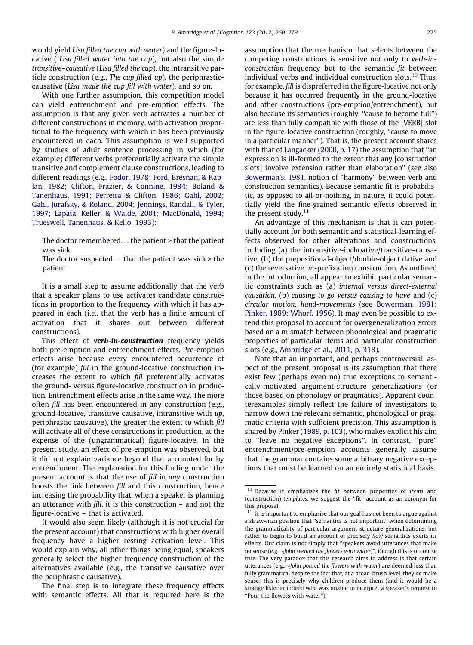would yield Lisa filled the cup with water) and the figure-locative (\*Lisa filled water into the cup), but also the simple transitive–causative (Lisa filled the cup), the intransitive particle construction (e.g., The cup filled up), the periphrasticcausative (Lisa made the cup fill with water), and so on.

With one further assumption, this competition model can yield entrenchment and pre-emption effects. The assumption is that any given verb activates a number of different constructions in memory, with activation proportional to the frequency with which it has been previously encountered in each. This assumption is well supported by studies of adult sentence processing in which (for example) different verbs preferentially activate the simple transitive and complement clause constructions, leading to different readings (e.g., [Fodor, 1978; Ford, Bresnan, & Kap](#page-18-0)[lan, 1982; Clifton, Frazier, & Connine, 1984; Boland &](#page-18-0) [Tanenhaus, 1991; Ferreira & Clifton, 1986; Gahl, 2002;](#page-18-0) [Gahl, Jurafsky, & Roland, 2004; Jennings, Randall, & Tyler,](#page-18-0) [1997; Lapata, Keller, & Walde, 2001; MacDonald, 1994;](#page-18-0) [Trueswell, Tanenhaus, & Kello, 1993\)](#page-18-0):

The doctor remembered... the patient > that the patient was sick

The doctor suspected... that the patient was sick > the patient

It is a small step to assume additionally that the verb that a speaker plans to use activates candidate constructions in proportion to the frequency with which it has appeared in each (i.e., that the verb has a finite amount of activation that it shares out between different constructions).

This effect of **verb-in-construction** frequency yields both pre-emption and entrenchment effects. Pre-emption effects arise because every encountered occurrence of (for example) fill in the ground-locative construction increases the extent to which fill preferentially activates the ground- versus figure-locative construction in production. Entrenchment effects arise in the same way. The more often fill has been encountered in any construction (e.g., ground-locative, transitive causative, intransitive with up, periphrastic causative), the greater the extent to which fill will activate all of these constructions in production, at the expense of the (ungrammatical) figure-locative. In the present study, an effect of pre-emption was observed, but it did not explain variance beyond that accounted for by entrenchment. The explanation for this finding under the present account is that the use of fill in any construction boosts the link between fill and this construction, hence increasing the probability that, when a speaker is planning an utterance with fill, it is this construction – and not the figure-locative – that is activated.

It would also seem likely (although it is not crucial for the present account) that constructions with higher overall frequency have a higher resting activation level. This would explain why, all other things being equal, speakers generally select the higher frequency construction of the alternatives available (e.g., the transitive causative over the periphrastic causative).

The final step is to integrate these frequency effects with semantic effects. All that is required here is the assumption that the mechanism that selects between the competing constructions is sensitive not only to verb-inconstruction frequency but to the semantic fit between individual verbs and individual construction slots.<sup>10</sup> Thus, for example, fill is dispreferred in the figure-locative not only because it has occurred frequently in the ground-locative and other constructions (pre-emption/entrenchment), but also because its semantics (roughly, ''cause to become full'') are less than fully compatible with those of the [VERB] slot in the figure-locative construction (roughly, ''cause to move in a particular manner''). That is, the present account shares with that of [Langacker \(2000, p. 17\)](#page-18-0) the assumption that ''an expression is ill-formed to the extent that any [construction slots] involve extension rather than elaboration'' (see also [Bowerman's, 1981](#page-18-0), notion of ''harmony'' between verb and construction semantics). Because semantic fit is probabilistic, as opposed to all-or-nothing, in nature, it could potentially yield the fine-grained semantic effects observed in the present study. $11$ 

An advantage of this mechanism is that it can potentially account for both semantic and statistical-learning effects observed for other alterations and constructions, including (a) the intransitive-inchoative/transitive–causative, (b) the prepositional-object/double-object dative and (c) the reversative un-prefixation construction. As outlined in the introduction, all appear to exhibit particular semantic constraints such as (a) internal versus direct-external causation, (b) causing to go versus causing to have and (c) circular motion, hand-movements (see [Bowerman, 1981;](#page-18-0) [Pinker, 1989; Whorf, 1956](#page-18-0)). It may even be possible to extend this proposal to account for overgeneralization errors based on a mismatch between phonological and pragmatic properties of particular items and particular construction slots (e.g., [Ambridge et al., 2011, p. 318](#page-18-0)).

Note that an important, and perhaps controversial, aspect of the present proposal is its assumption that there exist few (perhaps even no) true exceptions to semantically-motivated argument-structure generalizations (or those based on phonology or pragmatics). Apparent counterexamples simply reflect the failure of investigators to narrow down the relevant semantic, phonological or pragmatic criteria with sufficient precision. This assumption is shared by [Pinker \(1989, p. 103\),](#page-19-0) who makes explicit his aim to ''leave no negative exceptions''. In contrast, ''pure'' entrenchment/pre-emption accounts generally assume that the grammar contains some arbitrary negative exceptions that must be learned on an entirely statistical basis.

 $10$  Because it emphasises the fit between properties of items and (construction) templates, we suggest the ''fit'' account as an acronym for this proposal.

 $11$  It is important to emphasise that our goal has not been to argue against a straw-man position that ''semantics is not important'' when determining the grammaticality of particular argument structure generalizations, but rather to begin to build an account of precisely how semantics exerts its effects. Our claim is not simply that ''speakers avoid utterances that make no sense (e.g., \*John seemed the flowers with water)", though this is of course true. The very paradox that this research aims to address is that certain utterances (e.g., \*John poured the flowers with water) are deemed less than fully grammatical despite the fact that, at a broad-brush level, they do make sense; this is precisely why children produce them (and it would be a strange listener indeed who was unable to interpret a speaker's request to ''Pour the flowers with water'').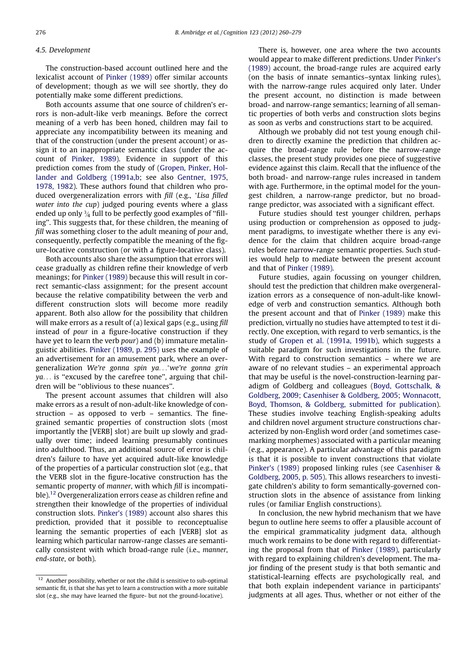# 4.5. Development

The construction-based account outlined here and the lexicalist account of [Pinker \(1989\)](#page-19-0) offer similar accounts of development; though as we will see shortly, they do potentially make some different predictions.

Both accounts assume that one source of children's errors is non-adult-like verb meanings. Before the correct meaning of a verb has been honed, children may fail to appreciate any incompatibility between its meaning and that of the construction (under the present account) or assign it to an inappropriate semantic class (under the account of [Pinker, 1989\)](#page-19-0). Evidence in support of this prediction comes from the study of [\(Gropen, Pinker, Hol](#page-18-0)[lander and Goldberg \(1991a,b;](#page-18-0) see also [Gentner, 1975,](#page-18-0) [1978, 1982](#page-18-0)). These authors found that children who produced overgeneralization errors with fill (e.g., \*Lisa filled water into the cup) judged pouring events where a glass ended up only  $\frac{3}{4}$  full to be perfectly good examples of "filling''. This suggests that, for these children, the meaning of fill was something closer to the adult meaning of pour and, consequently, perfectly compatible the meaning of the figure-locative construction (or with a figure-locative class).

Both accounts also share the assumption that errors will cease gradually as children refine their knowledge of verb meanings; for [Pinker \(1989\)](#page-19-0) because this will result in correct semantic-class assignment; for the present account because the relative compatibility between the verb and different construction slots will become more readily apparent. Both also allow for the possibility that children will make errors as a result of (a) lexical gaps (e.g., using fill instead of pour in a figure-locative construction if they have yet to learn the verb pour) and (b) immature metalinguistic abilities. [Pinker \(1989, p. 295\)](#page-19-0) uses the example of an advertisement for an amusement park, where an overgeneralization We're gonna spin ya...\*we're gonna grin ya... is "excused by the carefree tone", arguing that children will be ''oblivious to these nuances''.

The present account assumes that children will also make errors as a result of non-adult-like knowledge of construction – as opposed to verb – semantics. The finegrained semantic properties of construction slots (most importantly the [VERB] slot) are built up slowly and gradually over time; indeed learning presumably continues into adulthood. Thus, an additional source of error is children's failure to have yet acquired adult-like knowledge of the properties of a particular construction slot (e.g., that the VERB slot in the figure-locative construction has the semantic property of manner, with which fill is incompatible).<sup>12</sup> Overgeneralization errors cease as children refine and strengthen their knowledge of the properties of individual construction slots. [Pinker's \(1989\)](#page-19-0) account also shares this prediction, provided that it possible to reconceptualise learning the semantic properties of each [VERB] slot as learning which particular narrow-range classes are semantically consistent with which broad-range rule (i.e., manner, end-state, or both).

There is, however, one area where the two accounts would appear to make different predictions. Under [Pinker's](#page-19-0) [\(1989\)](#page-19-0) account, the broad-range rules are acquired early (on the basis of innate semantics–syntax linking rules), with the narrow-range rules acquired only later. Under the present account, no distinction is made between broad- and narrow-range semantics; learning of all semantic properties of both verbs and construction slots begins as soon as verbs and constructions start to be acquired.

Although we probably did not test young enough children to directly examine the prediction that children acquire the broad-range rule before the narrow-range classes, the present study provides one piece of suggestive evidence against this claim. Recall that the influence of the both broad- and narrow-range rules increased in tandem with age. Furthermore, in the optimal model for the youngest children, a narrow-range predictor, but no broadrange predictor, was associated with a significant effect.

Future studies should test younger children, perhaps using production or comprehension as opposed to judgment paradigms, to investigate whether there is any evidence for the claim that children acquire broad-range rules before narrow-range semantic properties. Such studies would help to mediate between the present account and that of [Pinker \(1989\).](#page-19-0)

Future studies, again focussing on younger children, should test the prediction that children make overgeneralization errors as a consequence of non-adult-like knowledge of verb and construction semantics. Although both the present account and that of [Pinker \(1989\)](#page-19-0) make this prediction, virtually no studies have attempted to test it directly. One exception, with regard to verb semantics, is the study of [Gropen et al. \(1991a, 1991b\)](#page-18-0), which suggests a suitable paradigm for such investigations in the future. With regard to construction semantics – where we are aware of no relevant studies – an experimental approach that may be useful is the novel-construction-learning paradigm of Goldberg and colleagues ([Boyd, Gottschalk, &](#page-18-0) [Goldberg, 2009; Casenhiser & Goldberg, 2005; Wonnacott,](#page-18-0) [Boyd, Thomson, & Goldberg, submitted for publication](#page-18-0)). These studies involve teaching English-speaking adults and children novel argument structure constructions characterized by non-English word order (and sometimes casemarking morphemes) associated with a particular meaning (e.g., appearance). A particular advantage of this paradigm is that it is possible to invent constructions that violate [Pinker's \(1989\)](#page-19-0) proposed linking rules (see [Casenhiser &](#page-18-0) [Goldberg, 2005, p. 505](#page-18-0)). This allows researchers to investigate children's ability to form semantically-governed construction slots in the absence of assistance from linking rules (or familiar English constructions).

In conclusion, the new hybrid mechanism that we have begun to outline here seems to offer a plausible account of the empirical grammaticality judgment data, although much work remains to be done with regard to differentiating the proposal from that of [Pinker \(1989\)](#page-19-0), particularly with regard to explaining children's development. The major finding of the present study is that both semantic and statistical-learning effects are psychologically real, and that both explain independent variance in participants' judgments at all ages. Thus, whether or not either of the

 $12$  Another possibility, whether or not the child is sensitive to sub-optimal semantic fit, is that she has yet to learn a construction with a more suitable slot (e.g., she may have learned the figure- but not the ground-locative).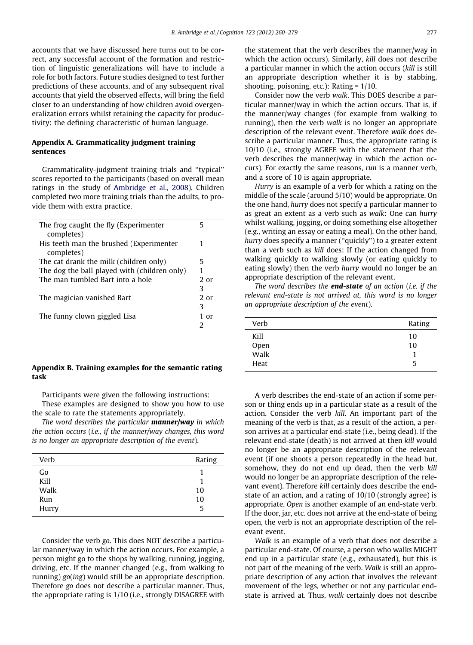accounts that we have discussed here turns out to be correct, any successful account of the formation and restriction of linguistic generalizations will have to include a role for both factors. Future studies designed to test further predictions of these accounts, and of any subsequent rival accounts that yield the observed effects, will bring the field closer to an understanding of how children avoid overgeneralization errors whilst retaining the capacity for productivity: the defining characteristic of human language.

# Appendix A. Grammaticality judgment training sentences

Grammaticality-judgment training trials and ''typical'' scores reported to the participants (based on overall mean ratings in the study of [Ambridge et al., 2008\)](#page-18-0). Children completed two more training trials than the adults, to provide them with extra practice.

| The frog caught the fly (Experimenter<br>completes)   |        |
|-------------------------------------------------------|--------|
| His teeth man the brushed (Experimenter<br>completes) |        |
| The cat drank the milk (children only)                | 5      |
| The dog the ball played with (children only)          |        |
| The man tumbled Bart into a hole                      | $2$ or |
|                                                       | З      |
| The magician vanished Bart                            | $2$ or |
|                                                       | З      |
| The funny clown giggled Lisa                          | 1 or   |
|                                                       |        |

# Appendix B. Training examples for the semantic rating task

Participants were given the following instructions:

These examples are designed to show you how to use the scale to rate the statements appropriately.

The word describes the particular **manner/way** in which the action occurs (i.e., if the manner/way changes, this word is no longer an appropriate description of the event).

| Verb  | Rating |
|-------|--------|
| Go    |        |
| Kill  |        |
| Walk  | 10     |
| Run   | 10     |
| Hurry | 5      |

Consider the verb go. This does NOT describe a particular manner/way in which the action occurs. For example, a person might go to the shops by walking, running, jogging, driving, etc. If the manner changed (e.g., from walking to running) go(ing) would still be an appropriate description. Therefore go does not describe a particular manner. Thus, the appropriate rating is 1/10 (i.e., strongly DISAGREE with the statement that the verb describes the manner/way in which the action occurs). Similarly, kill does not describe a particular manner in which the action occurs (kill is still an appropriate description whether it is by stabbing, shooting, poisoning, etc.): Rating = 1/10.

Consider now the verb walk. This DOES describe a particular manner/way in which the action occurs. That is, if the manner/way changes (for example from walking to running), then the verb walk is no longer an appropriate description of the relevant event. Therefore walk does describe a particular manner. Thus, the appropriate rating is 10/10 (i.e., strongly AGREE with the statement that the verb describes the manner/way in which the action occurs). For exactly the same reasons, run is a manner verb, and a score of 10 is again appropriate.

Hurry is an example of a verb for which a rating on the middle of the scale (around 5/10) would be appropriate. On the one hand, hurry does not specify a particular manner to as great an extent as a verb such as walk: One can hurry whilst walking, jogging, or doing something else altogether (e.g., writing an essay or eating a meal). On the other hand, hurry does specify a manner (''quickly'') to a greater extent than a verb such as kill does: If the action changed from walking quickly to walking slowly (or eating quickly to eating slowly) then the verb hurry would no longer be an appropriate description of the relevant event.

The word describes the **end-state** of an action (i.e. if the relevant end-state is not arrived at, this word is no longer an appropriate description of the event).

| Verb         | Rating |
|--------------|--------|
| Kill         | 10     |
| Open<br>Walk | 10     |
|              |        |
| Heat         | 5      |

A verb describes the end-state of an action if some person or thing ends up in a particular state as a result of the action. Consider the verb kill. An important part of the meaning of the verb is that, as a result of the action, a person arrives at a particular end-state (i.e., being dead). If the relevant end-state (death) is not arrived at then kill would no longer be an appropriate description of the relevant event (if one shoots a person repeatedly in the head but, somehow, they do not end up dead, then the verb kill would no longer be an appropriate description of the relevant event). Therefore kill certainly does describe the endstate of an action, and a rating of 10/10 (strongly agree) is appropriate. Open is another example of an end-state verb. If the door, jar, etc. does not arrive at the end-state of being open, the verb is not an appropriate description of the relevant event.

Walk is an example of a verb that does not describe a particular end-state. Of course, a person who walks MIGHT end up in a particular state (e.g., exhausated), but this is not part of the meaning of the verb. Walk is still an appropriate description of any action that involves the relevant movement of the legs, whether or not any particular endstate is arrived at. Thus, walk certainly does not describe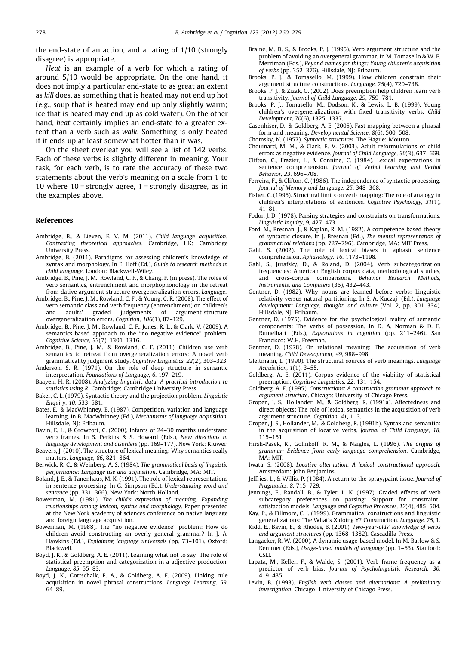<span id="page-18-0"></span>the end-state of an action, and a rating of 1/10 (strongly disagree) is appropriate.

Heat is an example of a verb for which a rating of around 5/10 would be appropriate. On the one hand, it does not imply a particular end-state to as great an extent as kill does, as something that is heated may not end up hot (e.g., soup that is heated may end up only slightly warm; ice that is heated may end up as cold water). On the other hand, heat certainly implies an end-state to a greater extent than a verb such as walk. Something is only heated if it ends up at least somewhat hotter than it was.

On the sheet overleaf you will see a list of 142 verbs. Each of these verbs is slightly different in meaning. Your task, for each verb, is to rate the accuracy of these two statements about the verb's meaning on a scale from 1 to 10 where 10 = strongly agree, 1 = strongly disagree, as in the examples above.

## References

- Ambridge, B., & Lieven, E. V. M. (2011). Child language acquisition: Contrasting theoretical approaches. Cambridge, UK: Cambridge University Press.
- Ambridge, B. (2011). Paradigms for assessing children's knowledge of syntax and morphology. In E. Hoff (Ed.), Guide to research methods in child language. London: Blackwell-Wiley.
- Ambridge, B., Pine, J. M., Rowland, C. F., & Chang, F. (in press). The roles of verb semantics, entrenchment and morphophonology in the retreat from dative argument structure overgeneralization errors. Language.
- Ambridge, B., Pine, J. M., Rowland, C. F., & Young, C. R. (2008). The effect of verb semantic class and verb frequency (entrenchment) on children's and adults' graded judgements of argument-structure overgeneralization errors. Cognition, 106(1), 87–129.
- Ambridge, B., Pine, J. M., Rowland, C. F., Jones, R. L., & Clark, V. (2009). A semantics-based approach to the ''no negative evidence'' problem. Cognitive Science, 33(7), 1301–1316.
- Ambridge, B., Pine, J. M., & Rowland, C. F. (2011). Children use verb semantics to retreat from overgeneralization errors: A novel verb grammaticality judgment study. Cognitive Linguistics, 22(2), 303–323.
- Anderson, S. R. (1971). On the role of deep structure in semantic interpretation. Foundations of Language, 6, 197–219.
- Baayen, H. R. (2008). Analyzing linguistic data: A practical introduction to statistics using R. Cambridge: Cambridge University Press.
- Baker, C. L. (1979). Syntactic theory and the projection problem. Linguistic Enquiry, 10, 533–581.
- Bates, E., & MacWhinney, B. (1987). Competition, variation and language learning. In B. MacWhinney (Ed.), Mechanisms of language acquisition. Hillsdale, NJ: Erlbaum.
- Bavin, E. L., & Growcott, C. (2000). Infants of 24–30 months understand verb frames. In S. Perkins & S. Howard (Eds.), New directions in language development and disorders (pp. 169–177). New York: Kluwer.
- Beavers, J. (2010). The structure of lexical meaning: Why semantics really matters. Language, 86, 821–864.
- Berwick, R. C., & Weinberg, A. S. (1984). The grammatical basis of linguistic performance: Language use and acquisition. Cambridge, MA: MIT.
- Boland, J. E., & Tanenhaus, M. K. (1991). The role of lexical representations in sentence processing. In G. Simpson (Ed.), Understanding word and sentence (pp. 331–366). New York: North-Holland.
- Bowerman, M. (1981). The child's expression of meaning: Expanding relationships among lexicon, syntax and morphology. Paper presented at the New York academy of sciences conference on native language and foreign language acquisition.
- Bowerman, M. (1988). The ''no negative evidence'' problem: How do children avoid constructing an overly general grammar? In J. A. Hawkins (Ed.), Explaining language universals (pp. 73–101). Oxford: Blackwell.
- Boyd, J. K., & Goldberg, A. E. (2011). Learning what not to say: The role of statistical preemption and categorization in a-adjective production. Language, 85, 55–83.
- Boyd, J. K., Gottschalk, E. A., & Goldberg, A. E. (2009). Linking rule acquisition in novel phrasal constructions. Language Learning, 59, 64–89.
- Braine, M. D. S., & Brooks, P. J. (1995). Verb argument structure and the problem of avoiding an overgeneral grammar. In M. Tomasello & W. E. Merriman (Eds.), Beyond names for things: Young children's acquisition of verbs (pp. 352–376). Hillsdale, NJ: Erlbaum.
- Brooks, P. J., & Tomasello, M. (1999). How children constrain their argument structure constructions. Language, 75(4), 720–738.
- Brooks, P. J., & Zizak, O. (2002). Does preemption help children learn verb transitivity. Journal of Child Language, 29, 759–781.
- Brooks, P. J., Tomasello, M., Dodson, K., & Lewis, L. B. (1999). Young children's overgeneralizations with fixed transitivity verbs. Child Development, 70(6), 1325–1337.
- Casenhiser, D., & Goldberg, A. E. (2005). Fast mapping between a phrasal form and meaning. Developmental Science, 8(6), 500–508.
- Chomsky, N. (1957). Syntactic structures. The Hague: Mouton.
- Chouinard, M. M., & Clark, E. V. (2003). Adult reformulations of child errors as negative evidence. Journal of Child Language, 30(3), 637–669.
- Clifton, C., Frazier, L., & Connine, C. (1984). Lexical expectations in sentence comprehension. Journal of Verbal Learning and Verbal Behavior, 23, 696–708.
- Ferreira, F., & Clifton, C. (1986). The independence of syntactic processing. Journal of Memory and Language, 25, 348–368.
- Fisher, C. (1996). Structural limits on verb mapping: The role of analogy in children's interpretations of sentences. Cognitive Psychology, 31(1), 41–81.
- Fodor, J. D. (1978). Parsing strategies and constraints on transformations. Linguistic Inquiry, 9, 427–473.
- Ford, M., Bresnan, J., & Kaplan, R. M. (1982). A competence-based theory of syntactic closure. In J. Bresnan (Ed.), The mental representation of grammatical relations (pp. 727–796). Cambridge, MA: MIT Press.
- Gahl, S. (2002). The role of lexical biases in aphasic sentence comprehension. Aphasiology, 16, 1173–1198.
- Gahl, S., Jurafsky, D., & Roland, D. (2004). Verb subcategorization frequencies: American English corpus data, methodological studies, and cross-corpus comparisons. Behavior Research Methods, Instruments, and Computers (36), 432–443.
- Gentner, D. (1982). Why nouns are learned before verbs: Linguistic relativity versus natural partitioning. In S. A. Kuczaj (Ed.). Language development: Language, thought, and culture (Vol. 2, pp. 301–334). Hillsdale, NJ: Erlbaum.
- Gentner, D. (1975). Evidence for the psychological reality of semantic components: The verbs of possession. In D. A. Norman & D. E. Rumelhart (Eds.), Explorations in cognition (pp. 211–246). San Francisco: W.H. Freeman.
- Gentner, D. (1978). On relational meaning: The acquisition of verb meaning. Child Development, 49, 988–998.
- Gleitmann, L. (1990). The structural sources of verb meanings. Language Acquisition, 1(1), 3–55.
- Goldberg, A. E. (2011). Corpus evidence of the viability of statistical preemption. Cognitive Linguistics, 22, 131–154.
- Goldberg, A. E. (1995). Constructions: A construction grammar approach to argument structure. Chicago: University of Chicago Press.
- Gropen, J. S., Hollander, M., & Goldberg, R. (1991a). Affectedness and direct objects: The role of lexical semantics in the acquisition of verb argument structure. Cognition, 41, 1–3.
- Gropen, J. S., Hollander, M., & Goldberg, R. (1991b). Syntax and semantics in the acquisition of locative verbs. Journal of Child Language, 18, 115–151.
- Hirsh-Pasek, K., Golinkoff, R. M., & Naigles, L. (1996). The origins of grammar: Evidence from early language comprehension. Cambridge, MA: MIT.
- Iwata, S. (2008). Locative alternation: A lexical–constructional approach. Amsterdam: John Benjamins.
- Jeffries, L., & Willis, P. (1984). A return to the spray/paint issue. Journal of Pragmatics, 8, 715–729.
- Jennings, F., Randall, B., & Tyler, L. K. (1997). Graded effects of verb subcategory preferences on parsing: Support for constraintsatisfaction models. Language and Cognitive Processes, 12(4), 485–504.
- Kay, P., & Fillmore, C. J. (1999). Grammatical constructions and linguistic generalizations: The What's X doing Y? Construction. Language, 75, 1.
- Kidd, E., Bavin, E., & Rhodes, B. (2001). Two-year-olds' knowledge of verbs and argument structures (pp. 1368–1382). Cascadilla Press.
- Langacker, R. W. (2000). A dynamic usage-based model. In M. Barlow & S. Kemmer (Eds.), Usage-based models of language (pp. 1–63). Stanford: CSLI.
- Lapata, M., Keller, F., & Walde, S. (2001). Verb frame frequency as a predictor of verb bias. Journal of Psycholinguistic Research, 30, 419–435.
- Levin, B. (1993). English verb classes and alternations: A preliminary investigation. Chicago: University of Chicago Press.